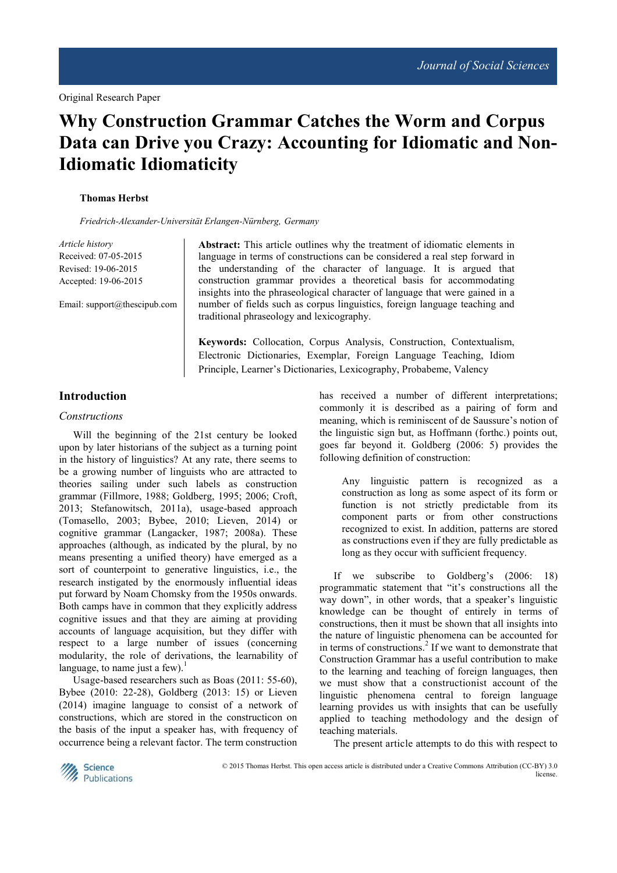# **Why Construction Grammar Catches the Worm and Corpus Data can Drive you Crazy: Accounting for Idiomatic and Non-Idiomatic Idiomaticity**

#### **Thomas Herbst**

*Friedrich-Alexander-Universität Erlangen-Nürnberg, Germany* 

*Article history*  Received: 07-05-2015 Revised: 19-06-2015 Accepted: 19-06-2015

Email: support@thescipub.com

**Abstract:** This article outlines why the treatment of idiomatic elements in language in terms of constructions can be considered a real step forward in the understanding of the character of language. It is argued that construction grammar provides a theoretical basis for accommodating insights into the phraseological character of language that were gained in a number of fields such as corpus linguistics, foreign language teaching and traditional phraseology and lexicography.

**Keywords:** Collocation, Corpus Analysis, Construction, Contextualism, Electronic Dictionaries, Exemplar, Foreign Language Teaching, Idiom Principle, Learner's Dictionaries, Lexicography, Probabeme, Valency

# **Introduction**

#### *Constructions*

Will the beginning of the 21st century be looked upon by later historians of the subject as a turning point in the history of linguistics? At any rate, there seems to be a growing number of linguists who are attracted to theories sailing under such labels as construction grammar (Fillmore, 1988; Goldberg, 1995; 2006; Croft, 2013; Stefanowitsch, 2011a), usage-based approach (Tomasello, 2003; Bybee, 2010; Lieven, 2014) or cognitive grammar (Langacker, 1987; 2008a). These approaches (although, as indicated by the plural, by no means presenting a unified theory) have emerged as a sort of counterpoint to generative linguistics, i.e., the research instigated by the enormously influential ideas put forward by Noam Chomsky from the 1950s onwards. Both camps have in common that they explicitly address cognitive issues and that they are aiming at providing accounts of language acquisition, but they differ with respect to a large number of issues (concerning modularity, the role of derivations, the learnability of language, to name just a few).<sup>1</sup>

Usage-based researchers such as Boas (2011: 55-60), Bybee (2010: 22-28), Goldberg (2013: 15) or Lieven (2014) imagine language to consist of a network of constructions, which are stored in the constructicon on the basis of the input a speaker has, with frequency of occurrence being a relevant factor. The term construction

has received a number of different interpretations; commonly it is described as a pairing of form and meaning, which is reminiscent of de Saussure's notion of the linguistic sign but, as Hoffmann (forthc.) points out, goes far beyond it. Goldberg (2006: 5) provides the following definition of construction:

Any linguistic pattern is recognized as a construction as long as some aspect of its form or function is not strictly predictable from its component parts or from other constructions recognized to exist. In addition, patterns are stored as constructions even if they are fully predictable as long as they occur with sufficient frequency.

If we subscribe to Goldberg's (2006: 18) programmatic statement that "it's constructions all the way down", in other words, that a speaker's linguistic knowledge can be thought of entirely in terms of constructions, then it must be shown that all insights into the nature of linguistic phenomena can be accounted for in terms of constructions.<sup>2</sup> If we want to demonstrate that Construction Grammar has a useful contribution to make to the learning and teaching of foreign languages, then we must show that a constructionist account of the linguistic phenomena central to foreign language learning provides us with insights that can be usefully applied to teaching methodology and the design of teaching materials.

The present article attempts to do this with respect to



 © 2015 Thomas Herbst. This open access article is distributed under a Creative Commons Attribution (CC-BY) 3.0 license.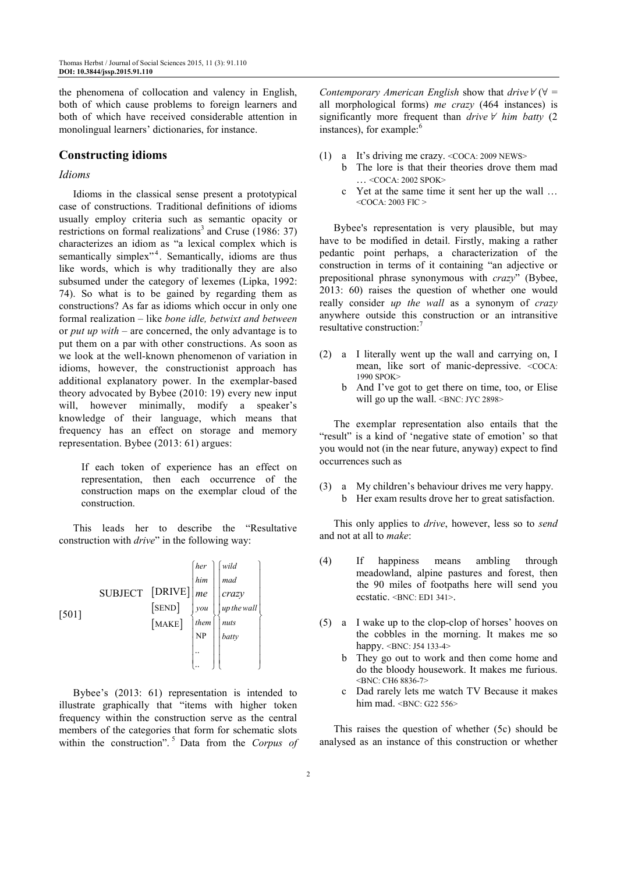the phenomena of collocation and valency in English, both of which cause problems to foreign learners and both of which have received considerable attention in monolingual learners' dictionaries, for instance.

# **Constructing idioms**

# *Idioms*

Idioms in the classical sense present a prototypical case of constructions. Traditional definitions of idioms usually employ criteria such as semantic opacity or restrictions on formal realizations<sup>3</sup> and Cruse (1986: 37) characterizes an idiom as "a lexical complex which is semantically simplex"<sup>4</sup>. Semantically, idioms are thus like words, which is why traditionally they are also subsumed under the category of lexemes (Lipka, 1992: 74). So what is to be gained by regarding them as constructions? As far as idioms which occur in only one formal realization – like *bone idle, betwixt and between*  or *put up with –* are concerned, the only advantage is to put them on a par with other constructions. As soon as we look at the well-known phenomenon of variation in idioms, however, the constructionist approach has additional explanatory power. In the exemplar-based theory advocated by Bybee (2010: 19) every new input will, however minimally, modify a speaker's knowledge of their language, which means that frequency has an effect on storage and memory representation. Bybee (2013: 61) argues:

If each token of experience has an effect on representation, then each occurrence of the construction maps on the exemplar cloud of the construction.

This leads her to describe the "Resultative construction with *drive*" in the following way:

| SUBJECT | [DRIVE] | $her$  | $wind$ |
|---------|---------|--------|--------|
| [501]   | [SEND]  | $you$  | $vou$  |
| [501]   | [MAKE]  | $them$ | $up$   |
| NP      | $http$  | $buty$ |        |
| ...     | ...     | ...    | ...    |

Bybee's (2013: 61) representation is intended to illustrate graphically that "items with higher token frequency within the construction serve as the central members of the categories that form for schematic slots within the construction". <sup>5</sup> Data from the *Corpus of* 

*Contemporary American English show that*  $\frac{dr}{dr} \forall \theta$  *=* all morphological forms) *me crazy* (464 instances) is significantly more frequent than *drive*∀ *him batty* (2 instances), for example: $6$ 

- (1) a It's driving me crazy. <COCA: 2009 NEWS>
	- b The lore is that their theories drove them mad … <COCA: 2002 SPOK>
	- c Yet at the same time it sent her up the wall … <COCA: 2003 FIC >

Bybee's representation is very plausible, but may have to be modified in detail. Firstly, making a rather pedantic point perhaps, a characterization of the construction in terms of it containing "an adjective or prepositional phrase synonymous with *crazy*" (Bybee, 2013: 60) raises the question of whether one would really consider *up the wall* as a synonym of *crazy* anywhere outside this construction or an intransitive resultative construction:<sup>7</sup>

- (2) a I literally went up the wall and carrying on, I mean, like sort of manic-depressive. <COCA: 1990 SPOK>
	- b And I've got to get there on time, too, or Elise will go up the wall. <BNC: JYC 2898>

The exemplar representation also entails that the "result" is a kind of 'negative state of emotion' so that you would not (in the near future, anyway) expect to find occurrences such as

(3) a My children's behaviour drives me very happy. b Her exam results drove her to great satisfaction.

This only applies to *drive*, however, less so to *send* and not at all to *make*:

- (4) If happiness means ambling through meadowland, alpine pastures and forest, then the 90 miles of footpaths here will send you ecstatic.  $\leq$ BNC: ED1 341>.
- (5) a I wake up to the clop-clop of horses' hooves on the cobbles in the morning. It makes me so happy. <BNC: J54 133-4>
	- b They go out to work and then come home and do the bloody housework. It makes me furious. <BNC: CH6 8836-7>
	- c Dad rarely lets me watch TV Because it makes him mad. <BNC: G22 556>

This raises the question of whether (5c) should be analysed as an instance of this construction or whether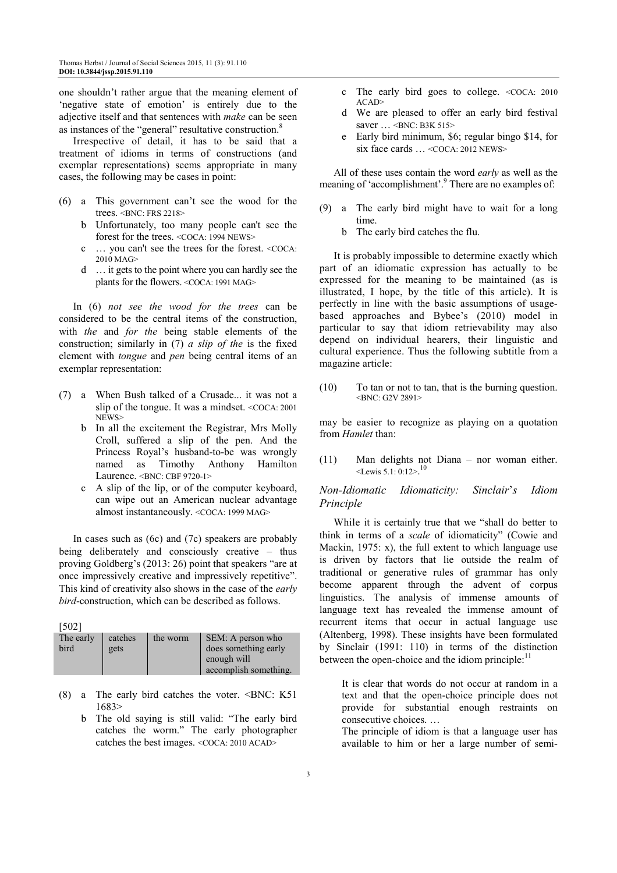one shouldn't rather argue that the meaning element of 'negative state of emotion' is entirely due to the adjective itself and that sentences with *make* can be seen as instances of the "general" resultative construction.<sup>8</sup>

Irrespective of detail, it has to be said that a treatment of idioms in terms of constructions (and exemplar representations) seems appropriate in many cases, the following may be cases in point:

- (6) a This government can't see the wood for the trees. <BNC: FRS 2218>
	- b Unfortunately, too many people can't see the forest for the trees. <COCA: 1994 NEWS>
	- c … you can't see the trees for the forest. <COCA: 2010 MAG>
	- d … it gets to the point where you can hardly see the plants for the flowers. <COCA: 1991 MAG>

In (6) *not see the wood for the trees* can be considered to be the central items of the construction, with *the* and *for the* being stable elements of the construction; similarly in (7) *a slip of the* is the fixed element with *tongue* and *pen* being central items of an exemplar representation:

- (7) a When Bush talked of a Crusade... it was not a slip of the tongue. It was a mindset. <COCA: 2001 NEWS>
	- b In all the excitement the Registrar, Mrs Molly Croll, suffered a slip of the pen. And the Princess Royal's husband-to-be was wrongly named as Timothy Anthony Hamilton Laurence. < BNC: CBF 9720-1>
	- c A slip of the lip, or of the computer keyboard, can wipe out an American nuclear advantage almost instantaneously. <COCA: 1999 MAG>

In cases such as (6c) and (7c) speakers are probably being deliberately and consciously creative – thus proving Goldberg's (2013: 26) point that speakers "are at once impressively creative and impressively repetitive". This kind of creativity also shows in the case of the *early bird*-construction, which can be described as follows.

 $[502]$ 

| $UU_{\alpha}$ |         |          |                       |
|---------------|---------|----------|-----------------------|
| The early     | catches | the worm | SEM: A person who     |
| bird          | gets    |          | does something early  |
|               |         |          | enough will           |
|               |         |          | accomplish something. |

- (8) a The early bird catches the voter. <BNC: K51 1683>
	- b The old saying is still valid: "The early bird catches the worm." The early photographer catches the best images. <COCA: 2010 ACAD>
- c The early bird goes to college. <COCA: 2010 ACAD>
- d We are pleased to offer an early bird festival saver ... < BNC: B3K 515>
- e Early bird minimum, \$6; regular bingo \$14, for six face cards ... < COCA: 2012 NEWS>

All of these uses contain the word *early* as well as the meaning of 'accomplishment'.<sup>9</sup> There are no examples of:

- (9) a The early bird might have to wait for a long time.
	- b The early bird catches the flu.

It is probably impossible to determine exactly which part of an idiomatic expression has actually to be expressed for the meaning to be maintained (as is illustrated, I hope, by the title of this article). It is perfectly in line with the basic assumptions of usagebased approaches and Bybee's (2010) model in particular to say that idiom retrievability may also depend on individual hearers, their linguistic and cultural experience. Thus the following subtitle from a magazine article:

(10) To tan or not to tan, that is the burning question. <BNC: G2V 2891>

may be easier to recognize as playing on a quotation from *Hamlet* than:

(11) Man delights not Diana – nor woman either.  $\le$ Lewis 5.1: 0:12>.<sup>10</sup>

## *Non-Idiomatic Idiomaticity: Sinclair*'*s Idiom Principle*

While it is certainly true that we "shall do better to think in terms of a *scale* of idiomaticity" (Cowie and Mackin, 1975: x), the full extent to which language use is driven by factors that lie outside the realm of traditional or generative rules of grammar has only become apparent through the advent of corpus linguistics. The analysis of immense amounts of language text has revealed the immense amount of recurrent items that occur in actual language use (Altenberg, 1998). These insights have been formulated by Sinclair (1991: 110) in terms of the distinction between the open-choice and the idiom principle: $11$ 

It is clear that words do not occur at random in a text and that the open-choice principle does not provide for substantial enough restraints on consecutive choices. …

The principle of idiom is that a language user has available to him or her a large number of semi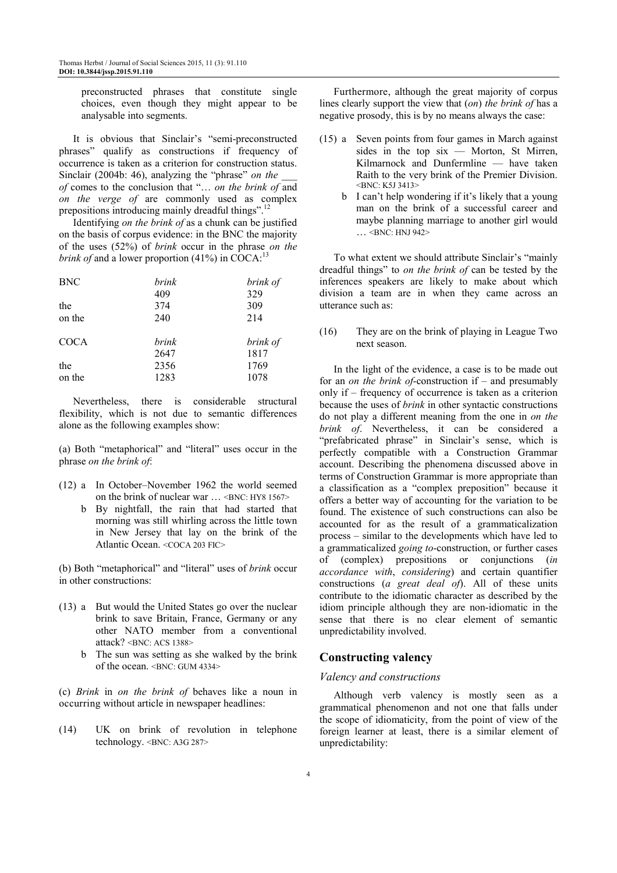preconstructed phrases that constitute single choices, even though they might appear to be analysable into segments.

It is obvious that Sinclair's "semi-preconstructed phrases" qualify as constructions if frequency of occurrence is taken as a criterion for construction status. Sinclair (2004b: 46), analyzing the "phrase" *on the of* comes to the conclusion that "… *on the brink of* and *on the verge of* are commonly used as complex prepositions introducing mainly dreadful things".<sup>12</sup>

Identifying *on the brink of* as a chunk can be justified on the basis of corpus evidence: in the BNC the majority of the uses (52%) of *brink* occur in the phrase *on the brink of* and a lower proportion  $(41\%)$  in COCA:<sup>13</sup>

| <b>BNC</b>  | hrink | brink of |
|-------------|-------|----------|
|             | 409   | 329      |
| the         | 374   | 309      |
| on the      | 240   | 214      |
| <b>COCA</b> | hrink | brink of |
|             | 2647  | 1817     |
| the         | 2356  | 1769     |
| on the      | 1283  | 1078     |

Nevertheless, there is considerable structural flexibility, which is not due to semantic differences alone as the following examples show:

(a) Both "metaphorical" and "literal" uses occur in the phrase *on the brink of*:

- (12) a In October–November 1962 the world seemed on the brink of nuclear war … <BNC: HY8 1567>
	- b By nightfall, the rain that had started that morning was still whirling across the little town in New Jersey that lay on the brink of the Atlantic Ocean. <COCA 203 FIC>

(b) Both "metaphorical" and "literal" uses of *brink* occur in other constructions:

- (13) a But would the United States go over the nuclear brink to save Britain, France, Germany or any other NATO member from a conventional attack?  $\langle$ BNC: ACS 1388>
	- b The sun was setting as she walked by the brink of the ocean. <BNC: GUM 4334>

(c) *Brink* in *on the brink of* behaves like a noun in occurring without article in newspaper headlines:

(14) UK on brink of revolution in telephone technology. <BNC: A3G 287>

Furthermore, although the great majority of corpus lines clearly support the view that (*on*) *the brink of* has a negative prosody, this is by no means always the case:

- (15) a Seven points from four games in March against sides in the top six — Morton, St Mirren, Kilmarnock and Dunfermline — have taken Raith to the very brink of the Premier Division. <BNC: K5J 3413>
	- b I can't help wondering if it's likely that a young man on the brink of a successful career and maybe planning marriage to another girl would … <BNC: HNJ 942>

To what extent we should attribute Sinclair's "mainly dreadful things" to *on the brink of* can be tested by the inferences speakers are likely to make about which division a team are in when they came across an utterance such as:

(16) They are on the brink of playing in League Two next season.

In the light of the evidence, a case is to be made out for an *on the brink of*-construction if – and presumably only if – frequency of occurrence is taken as a criterion because the uses of *brink* in other syntactic constructions do not play a different meaning from the one in *on the brink of*. Nevertheless, it can be considered a "prefabricated phrase" in Sinclair's sense, which is perfectly compatible with a Construction Grammar account. Describing the phenomena discussed above in terms of Construction Grammar is more appropriate than a classification as a "complex preposition" because it offers a better way of accounting for the variation to be found. The existence of such constructions can also be accounted for as the result of a grammaticalization process – similar to the developments which have led to a grammaticalized *going to*-construction, or further cases of (complex) prepositions or conjunctions (*in accordance with*, *considering*) and certain quantifier constructions (*a great deal of*). All of these units contribute to the idiomatic character as described by the idiom principle although they are non-idiomatic in the sense that there is no clear element of semantic unpredictability involved.

# **Constructing valency**

#### *Valency and constructions*

Although verb valency is mostly seen as a grammatical phenomenon and not one that falls under the scope of idiomaticity, from the point of view of the foreign learner at least, there is a similar element of unpredictability: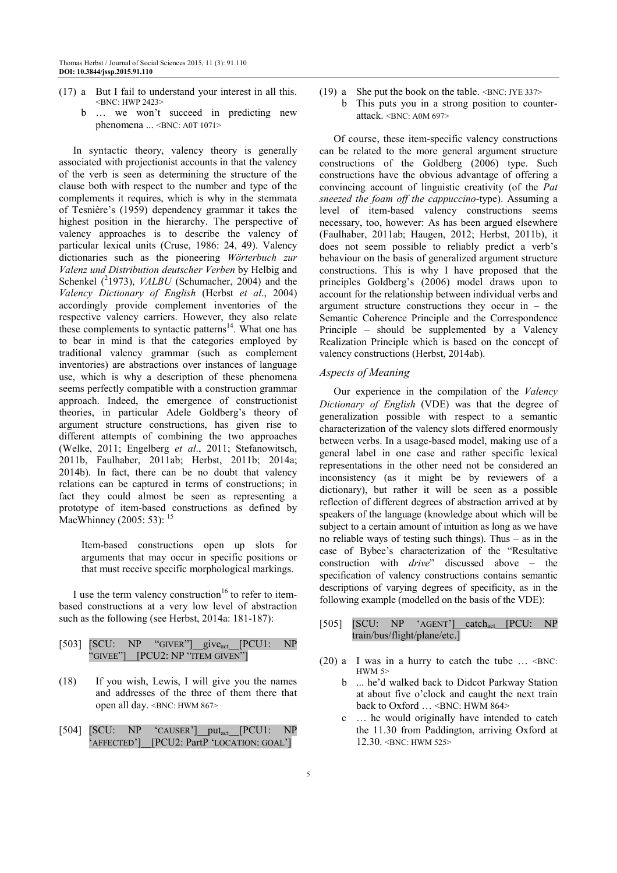- (17) a But I fail to understand your interest in all this. <BNC: HWP 2423>
	- b … we won't succeed in predicting new phenomena ... <BNC: A0T 1071>

In syntactic theory, valency theory is generally associated with projectionist accounts in that the valency of the verb is seen as determining the structure of the clause both with respect to the number and type of the complements it requires, which is why in the stemmata of Tesnière's (1959) dependency grammar it takes the highest position in the hierarchy. The perspective of valency approaches is to describe the valency of particular lexical units (Cruse, 1986: 24, 49). Valency dictionaries such as the pioneering *Wörterbuch zur Valenz und Distribution deutscher Verben* by Helbig and Schenkel (<sup>2</sup>1973), *VALBU* (Schumacher, 2004) and the *Valency Dictionary of English* (Herbst *et al*., 2004) accordingly provide complement inventories of the respective valency carriers. However, they also relate these complements to syntactic patterns<sup>14</sup>. What one has to bear in mind is that the categories employed by traditional valency grammar (such as complement inventories) are abstractions over instances of language use, which is why a description of these phenomena seems perfectly compatible with a construction grammar approach. Indeed, the emergence of constructionist theories, in particular Adele Goldberg's theory of argument structure constructions, has given rise to different attempts of combining the two approaches (Welke, 2011; Engelberg *et al*., 2011; Stefanowitsch, 2011b, Faulhaber, 2011ab; Herbst, 2011b; 2014a; 2014b). In fact, there can be no doubt that valency relations can be captured in terms of constructions; in fact they could almost be seen as representing a prototype of item-based constructions as defined by MacWhinney (2005: 53): <sup>15</sup>

Item-based constructions open up slots for arguments that may occur in specific positions or that must receive specific morphological markings.

I use the term valency construction<sup>16</sup> to refer to itembased constructions at a very low level of abstraction such as the following (see Herbst, 2014a: 181-187):

[503] [SCU: NP "GIVER"]\_\_giveact\_\_[PCU1: NP "GIVEE"]\_\_[PCU2: NP "ITEM GIVEN"]

- (18) If you wish, Lewis, I will give you the names and addresses of the three of them there that open all day. <BNC: HWM 867>
- [504] **[SCU:** NP 'CAUSER'] put<sub>act</sub> **[PCU1:** NP 'AFFECTED'] [PCU2: PartP 'LOCATION: GOAL']

(19) a She put the book on the table. <BNC: JYE 337> b This puts you in a strong position to counterattack. <BNC: A0M 697>

Of course, these item-specific valency constructions can be related to the more general argument structure constructions of the Goldberg (2006) type. Such constructions have the obvious advantage of offering a convincing account of linguistic creativity (of the *Pat sneezed the foam off the cappuccino*-type). Assuming a level of item-based valency constructions seems necessary, too, however: As has been argued elsewhere (Faulhaber, 2011ab; Haugen, 2012; Herbst, 2011b), it does not seem possible to reliably predict a verb's behaviour on the basis of generalized argument structure constructions. This is why I have proposed that the principles Goldberg's (2006) model draws upon to account for the relationship between individual verbs and argument structure constructions they occur in  $-$  the Semantic Coherence Principle and the Correspondence Principle – should be supplemented by a Valency Realization Principle which is based on the concept of valency constructions (Herbst, 2014ab).

# *Aspects of Meaning*

Our experience in the compilation of the *Valency Dictionary of English* (VDE) was that the degree of generalization possible with respect to a semantic characterization of the valency slots differed enormously between verbs. In a usage-based model, making use of a general label in one case and rather specific lexical representations in the other need not be considered an inconsistency (as it might be by reviewers of a dictionary), but rather it will be seen as a possible reflection of different degrees of abstraction arrived at by speakers of the language (knowledge about which will be subject to a certain amount of intuition as long as we have no reliable ways of testing such things). Thus – as in the case of Bybee's characterization of the "Resultative construction with *drive*" discussed above – the specification of valency constructions contains semantic descriptions of varying degrees of specificity, as in the following example (modelled on the basis of the VDE):

- [505] [SCU: NP 'AGENT']\_\_catchact\_\_[PCU: NP train/bus/flight/plane/etc.]
- (20) a I was in a hurry to catch the tube  $\ldots$  <BNC:  $HWM$  5>
	- b ... he'd walked back to Didcot Parkway Station at about five o'clock and caught the next train back to Oxford ... < BNC: HWM 864>
	- c … he would originally have intended to catch the 11.30 from Paddington, arriving Oxford at 12.30. <BNC: HWM 525>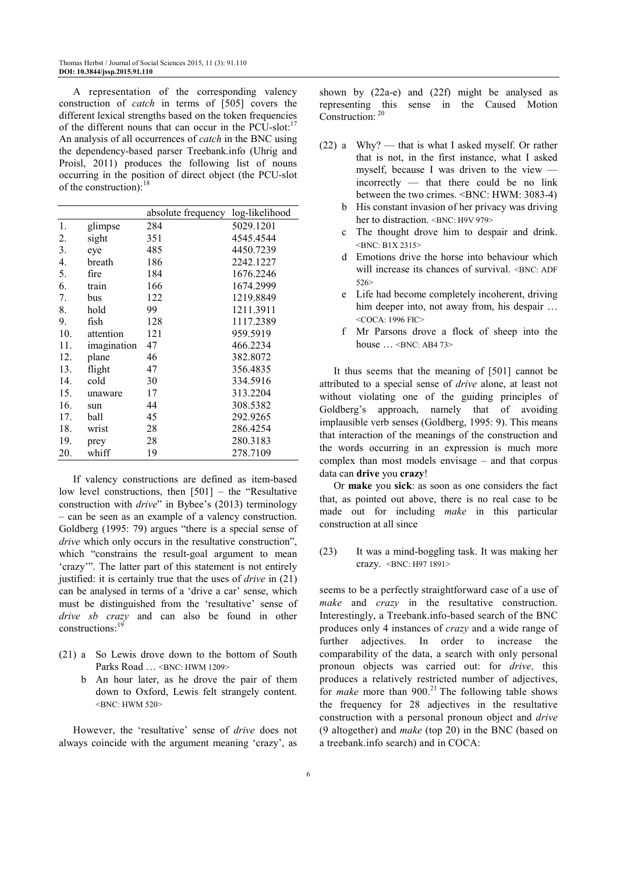A representation of the corresponding valency construction of *catch* in terms of [505] covers the different lexical strengths based on the token frequencies of the different nouns that can occur in the PCU-slot:<sup>1</sup> An analysis of all occurrences of *catch* in the BNC using the dependency-based parser Treebank.info (Uhrig and Proisl, 2011) produces the following list of nouns occurring in the position of direct object (the PCU-slot of the construction):<sup>18</sup>

|     |             | absolute frequency | log-likelihood |
|-----|-------------|--------------------|----------------|
| 1.  | glimpse     | 284                | 5029.1201      |
| 2.  | sight       | 351                | 4545.4544      |
| 3.  | eye         | 485                | 4450.7239      |
| 4.  | breath      | 186                | 2242.1227      |
| 5.  | fire        | 184                | 1676.2246      |
| 6.  | train       | 166                | 1674.2999      |
| 7.  | bus         | 122                | 1219.8849      |
| 8.  | hold        | 99                 | 1211.3911      |
| 9.  | fish        | 128                | 1117.2389      |
| 10. | attention   | 121                | 959.5919       |
| 11. | imagination | 47                 | 466.2234       |
| 12. | plane       | 46                 | 382.8072       |
| 13. | flight      | 47                 | 356.4835       |
| 14. | cold        | 30                 | 334.5916       |
| 15. | unaware     | 17                 | 313.2204       |
| 16. | sun         | 44                 | 308.5382       |
| 17. | ball        | 45                 | 292.9265       |
| 18. | wrist       | 28                 | 286.4254       |
| 19. | prey        | 28                 | 280.3183       |
| 20. | whiff       | 19                 | 278.7109       |

If valency constructions are defined as item-based low level constructions, then [501] – the "Resultative construction with *drive*" in Bybee's (2013) terminology – can be seen as an example of a valency construction. Goldberg (1995: 79) argues "there is a special sense of *drive* which only occurs in the resultative construction", which "constrains the result-goal argument to mean 'crazy'". The latter part of this statement is not entirely justified: it is certainly true that the uses of *drive* in (21) can be analysed in terms of a 'drive a car' sense, which must be distinguished from the 'resultative' sense of *drive sb crazy* and can also be found in other constructions:<sup>19</sup>

- (21) a So Lewis drove down to the bottom of South Parks Road ... < BNC: HWM 1209>
	- b An hour later, as he drove the pair of them down to Oxford, Lewis felt strangely content.  $\langle$ BNC: HWM 520 $>$

However, the 'resultative' sense of *drive* does not always coincide with the argument meaning 'crazy', as shown by (22a-e) and (22f) might be analysed as representing this sense in the Caused Motion Construction: 20

- (22) a Why? that is what I asked myself. Or rather that is not, in the first instance, what I asked myself, because I was driven to the view incorrectly — that there could be no link between the two crimes. <BNC: HWM: 3083-4)
	- b His constant invasion of her privacy was driving her to distraction. <BNC: H9V 979>
	- c The thought drove him to despair and drink. <BNC: B1X 2315>
	- d Emotions drive the horse into behaviour which will increase its chances of survival. <BNC: ADF 526>
	- e Life had become completely incoherent, driving him deeper into, not away from, his despair ... <COCA: 1996 FIC>
	- f Mr Parsons drove a flock of sheep into the house … <BNC: AB4 73>

It thus seems that the meaning of [501] cannot be attributed to a special sense of *drive* alone, at least not without violating one of the guiding principles of Goldberg's approach, namely that of avoiding implausible verb senses (Goldberg, 1995: 9). This means that interaction of the meanings of the construction and the words occurring in an expression is much more complex than most models envisage – and that corpus data can **drive** you **crazy**!

Or **make** you **sick**: as soon as one considers the fact that, as pointed out above, there is no real case to be made out for including *make* in this particular construction at all since

(23) It was a mind-boggling task. It was making her crazy. <BNC: H97 1891>

seems to be a perfectly straightforward case of a use of *make* and *crazy* in the resultative construction. Interestingly, a Treebank.info-based search of the BNC produces only 4 instances of *crazy* and a wide range of further adjectives. In order to increase the comparability of the data, a search with only personal pronoun objects was carried out: for *drive,* this produces a relatively restricted number of adjectives, for *make* more than 900.<sup>21</sup> The following table shows the frequency for 28 adjectives in the resultative construction with a personal pronoun object and *drive*  (9 altogether) and *make* (top 20) in the BNC (based on a treebank.info search) and in COCA: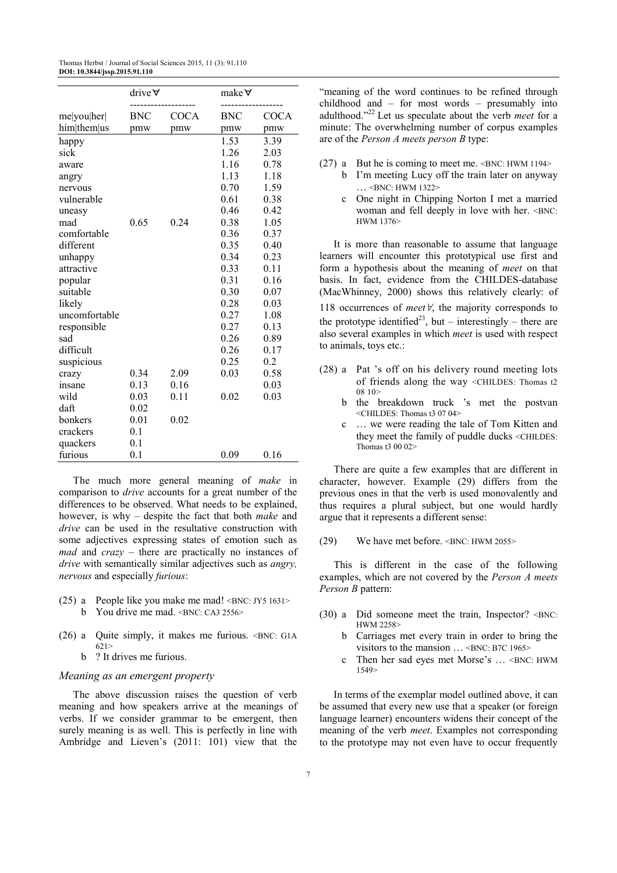| Thomas Herbst / Journal of Social Sciences 2015, 11 (3): 91.110 |  |
|-----------------------------------------------------------------|--|
| DOI: 10.3844/jssp.2015.91.110                                   |  |

|               | drive $\forall$ |             | make $\forall$ |             |
|---------------|-----------------|-------------|----------------|-------------|
| me you her    | <b>BNC</b>      | <b>COCA</b> | <b>BNC</b>     | <b>COCA</b> |
| him them us   | pmw             | pmw         | pmw            | pmw         |
| happy         |                 |             | 1.53           | 3.39        |
| sick          |                 |             | 1.26           | 2.03        |
| aware         |                 |             | 1.16           | 0.78        |
| angry         |                 |             | 1.13           | 1.18        |
| nervous       |                 |             | 0.70           | 1.59        |
| vulnerable    |                 |             | 0.61           | 0.38        |
| uneasy        |                 |             | 0.46           | 0.42        |
| mad           | 0.65            | 0.24        | 0.38           | 1.05        |
| comfortable   |                 |             | 0.36           | 0.37        |
| different     |                 |             | 0.35           | 0.40        |
| unhappy       |                 |             | 0.34           | 0.23        |
| attractive    |                 |             | 0.33           | 0.11        |
| popular       |                 |             | 0.31           | 0.16        |
| suitable      |                 |             | 0.30           | 0.07        |
| likely        |                 |             | 0.28           | 0.03        |
| uncomfortable |                 |             | 0.27           | 1.08        |
| responsible   |                 |             | 0.27           | 0.13        |
| sad           |                 |             | 0.26           | 0.89        |
| difficult     |                 |             | 0.26           | 0.17        |
| suspicious    |                 |             | 0.25           | 0.2         |
| crazy         | 0.34            | 2.09        | 0.03           | 0.58        |
| insane        | 0.13            | 0.16        |                | 0.03        |
| wild          | 0.03            | 0.11        | 0.02           | 0.03        |
| daft          | 0.02            |             |                |             |
| bonkers       | 0.01            | 0.02        |                |             |
| crackers      | 0.1             |             |                |             |
| quackers      | 0.1             |             |                |             |
| furious       | 0.1             |             | 0.09           | 0.16        |

The much more general meaning of *make* in comparison to *drive* accounts for a great number of the differences to be observed. What needs to be explained, however, is why – despite the fact that both *make* and *drive* can be used in the resultative construction with some adjectives expressing states of emotion such as *mad* and *crazy* – there are practically no instances of *drive* with semantically similar adjectives such as *angry, nervous* and especially *furious*:

- (25) a People like you make me mad! <BNC: JY5 1631> b You drive me mad. <BNC: CA3 2556>
- (26) a Quite simply, it makes me furious. <BNC: G1A 621>
	- b ? It drives me furious.

# *Meaning as an emergent property*

The above discussion raises the question of verb meaning and how speakers arrive at the meanings of verbs. If we consider grammar to be emergent, then surely meaning is as well. This is perfectly in line with Ambridge and Lieven's (2011: 101) view that the

"meaning of the word continues to be refined through childhood and – for most words – presumably into adulthood."<sup>22</sup> Let us speculate about the verb *meet* for a minute: The overwhelming number of corpus examples are of the *Person A meets person B* type:

- (27) a But he is coming to meet me. <BNC: HWM 1194>
	- b I'm meeting Lucy off the train later on anyway … <BNC: HWM 1322>
	- c One night in Chipping Norton I met a married woman and fell deeply in love with her. <BNC: HWM 1376>

It is more than reasonable to assume that language learners will encounter this prototypical use first and form a hypothesis about the meaning of *meet* on that basis. In fact, evidence from the CHILDES-database (MacWhinney, 2000) shows this relatively clearly: of 118 occurrences of *meet*∀, the majority corresponds to the prototype identified<sup>23</sup>, but – interestingly – there are also several examples in which *meet* is used with respect to animals, toys etc.:

- (28) a Pat 's off on his delivery round meeting lots of friends along the way <CHILDES: Thomas t2 08 10>
	- b the breakdown truck 's met the postvan <CHILDES: Thomas t3 07 04>
	- c … we were reading the tale of Tom Kitten and they meet the family of puddle ducks <CHILDES: Thomas t3 00 02>

There are quite a few examples that are different in character, however. Example (29) differs from the previous ones in that the verb is used monovalently and thus requires a plural subject, but one would hardly argue that it represents a different sense:

(29) We have met before. <BNC: HWM 2055>

This is different in the case of the following examples, which are not covered by the *Person A meets Person B* pattern:

- (30) a Did someone meet the train, Inspector?  $\leq BNC$ : HWM 2258>
	- b Carriages met every train in order to bring the visitors to the mansion ... <BNC: B7C 1965>
	- c Then her sad eyes met Morse's … <BNC: HWM 1549>

In terms of the exemplar model outlined above, it can be assumed that every new use that a speaker (or foreign language learner) encounters widens their concept of the meaning of the verb *meet*. Examples not corresponding to the prototype may not even have to occur frequently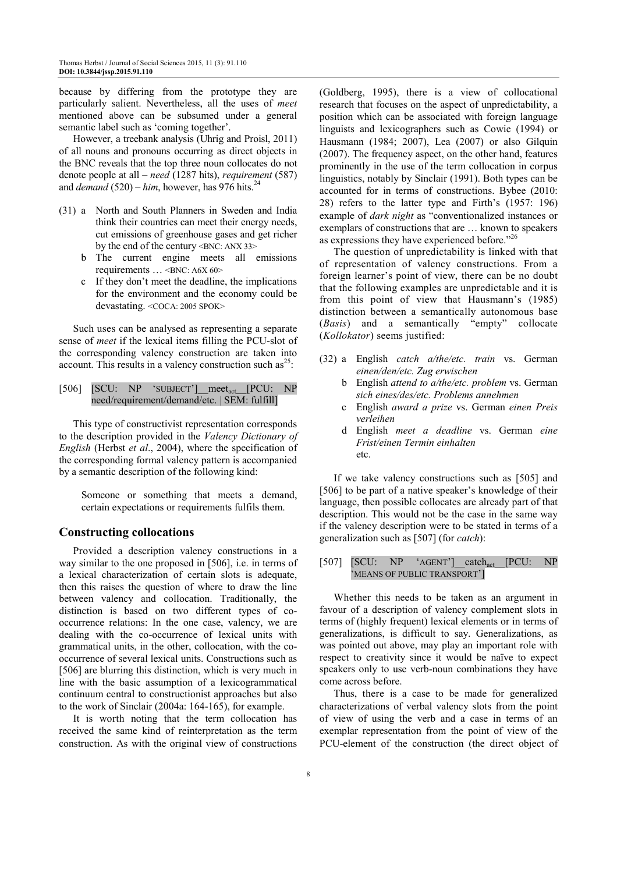because by differing from the prototype they are particularly salient. Nevertheless, all the uses of *meet*  mentioned above can be subsumed under a general semantic label such as 'coming together'.

However, a treebank analysis (Uhrig and Proisl, 2011) of all nouns and pronouns occurring as direct objects in the BNC reveals that the top three noun collocates do not denote people at all – *need* (1287 hits), *requirement* (587) and *demand*  $(520) - him$ , however, has 976 hits.<sup>24</sup>

- (31) a North and South Planners in Sweden and India think their countries can meet their energy needs, cut emissions of greenhouse gases and get richer by the end of the century <BNC: ANX 33>
	- b The current engine meets all emissions requirements … <BNC: A6X 60>
	- c If they don't meet the deadline, the implications for the environment and the economy could be devastating. <COCA: 2005 SPOK>

Such uses can be analysed as representing a separate sense of *meet* if the lexical items filling the PCU-slot of the corresponding valency construction are taken into account. This results in a valency construction such  $as<sup>25</sup>$ :

[506] [SCU: NP 'SUBJECT']\_\_meetact\_\_[PCU: NP need/requirement/demand/etc. | SEM: fulfill]

This type of constructivist representation corresponds to the description provided in the *Valency Dictionary of English* (Herbst *et al*., 2004), where the specification of the corresponding formal valency pattern is accompanied by a semantic description of the following kind:

Someone or something that meets a demand, certain expectations or requirements fulfils them.

## **Constructing collocations**

Provided a description valency constructions in a way similar to the one proposed in [506], i.e. in terms of a lexical characterization of certain slots is adequate, then this raises the question of where to draw the line between valency and collocation. Traditionally, the distinction is based on two different types of cooccurrence relations: In the one case, valency, we are dealing with the co-occurrence of lexical units with grammatical units, in the other, collocation, with the cooccurrence of several lexical units. Constructions such as [506] are blurring this distinction, which is very much in line with the basic assumption of a lexicogrammatical continuum central to constructionist approaches but also to the work of Sinclair (2004a: 164-165), for example.

It is worth noting that the term collocation has received the same kind of reinterpretation as the term construction. As with the original view of constructions

(Goldberg, 1995), there is a view of collocational research that focuses on the aspect of unpredictability, a position which can be associated with foreign language linguists and lexicographers such as Cowie (1994) or Hausmann (1984; 2007), Lea (2007) or also Gilquin (2007). The frequency aspect, on the other hand, features prominently in the use of the term collocation in corpus linguistics, notably by Sinclair (1991). Both types can be accounted for in terms of constructions. Bybee (2010: 28) refers to the latter type and Firth's (1957: 196) example of *dark night* as "conventionalized instances or exemplars of constructions that are … known to speakers as expressions they have experienced before."<sup>26</sup>

The question of unpredictability is linked with that of representation of valency constructions. From a foreign learner's point of view, there can be no doubt that the following examples are unpredictable and it is from this point of view that Hausmann's (1985) distinction between a semantically autonomous base (*Basis*) and a semantically "empty" collocate (*Kollokator*) seems justified:

- (32) a English *catch a/the/etc. train* vs. German *einen/den/etc. Zug erwischen*
	- b English *attend to a/the/etc. problem* vs. German *sich eines/des/etc. Problems annehmen*
	- c English *award a prize* vs. German *einen Preis verleihen*
	- d English *meet a deadline* vs. German *eine Frist/einen Termin einhalten*  etc.

If we take valency constructions such as [505] and [506] to be part of a native speaker's knowledge of their language, then possible collocates are already part of that description. This would not be the case in the same way if the valency description were to be stated in terms of a generalization such as [507] (for *catch*):

#### [507] [SCU: NP 'AGENT'] catch<sub>act</sub> [PCU: NP 'MEANS OF PUBLIC TRANSPORT']

Whether this needs to be taken as an argument in favour of a description of valency complement slots in terms of (highly frequent) lexical elements or in terms of generalizations, is difficult to say. Generalizations, as was pointed out above, may play an important role with respect to creativity since it would be naïve to expect speakers only to use verb-noun combinations they have come across before.

Thus, there is a case to be made for generalized characterizations of verbal valency slots from the point of view of using the verb and a case in terms of an exemplar representation from the point of view of the PCU-element of the construction (the direct object of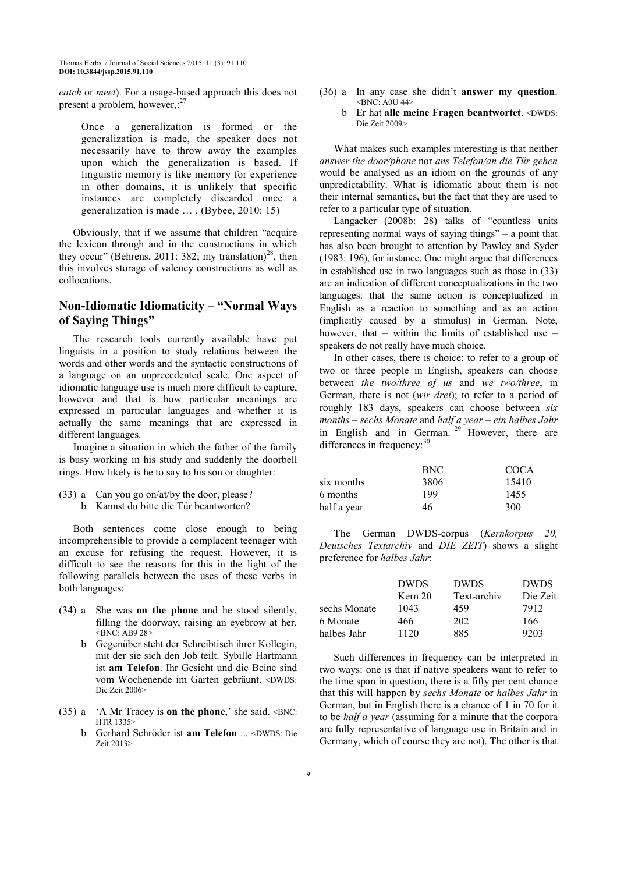*catch* or *meet*). For a usage-based approach this does not present a problem, however.:<sup>27</sup>

Once a generalization is formed or the generalization is made, the speaker does not necessarily have to throw away the examples upon which the generalization is based. If linguistic memory is like memory for experience in other domains, it is unlikely that specific instances are completely discarded once a generalization is made … . (Bybee, 2010: 15)

Obviously, that if we assume that children "acquire the lexicon through and in the constructions in which they occur" (Behrens, 2011: 382; my translation)<sup>28</sup>, then this involves storage of valency constructions as well as collocations.

# **Non-Idiomatic Idiomaticity – "Normal Ways of Saying Things"**

The research tools currently available have put linguists in a position to study relations between the words and other words and the syntactic constructions of a language on an unprecedented scale. One aspect of idiomatic language use is much more difficult to capture, however and that is how particular meanings are expressed in particular languages and whether it is actually the same meanings that are expressed in different languages.

Imagine a situation in which the father of the family is busy working in his study and suddenly the doorbell rings. How likely is he to say to his son or daughter:

(33) a Can you go on/at/by the door, please? b Kannst du bitte die Tür beantworten?

Both sentences come close enough to being incomprehensible to provide a complacent teenager with an excuse for refusing the request. However, it is difficult to see the reasons for this in the light of the following parallels between the uses of these verbs in both languages:

- (34) a She was **on the phone** and he stood silently, filling the doorway, raising an eyebrow at her. <BNC: AB9 28>
	- b Gegenüber steht der Schreibtisch ihrer Kollegin, mit der sie sich den Job teilt. Sybille Hartmann ist **am Telefon**. Ihr Gesicht und die Beine sind vom Wochenende im Garten gebräunt. <DWDS: Die Zeit 2006>
- (35) a 'A Mr Tracey is **on the phone**,' she said. <BNC: HTR 1335>
	- b Gerhard Schröder ist **am Telefon** ... <DWDS: Die Zeit 2013>
- (36) a In any case she didn't **answer my question**. <BNC: A0U 44>
	- b Er hat **alle meine Fragen beantwortet**. <DWDS: Die Zeit 2009>

What makes such examples interesting is that neither *answer the door/phone* nor *ans Telefon/an die Tür gehen*  would be analysed as an idiom on the grounds of any unpredictability. What is idiomatic about them is not their internal semantics, but the fact that they are used to refer to a particular type of situation.

Langacker (2008b: 28) talks of "countless units representing normal ways of saying things" – a point that has also been brought to attention by Pawley and Syder (1983: 196), for instance. One might argue that differences in established use in two languages such as those in (33) are an indication of different conceptualizations in the two languages: that the same action is conceptualized in English as a reaction to something and as an action (implicitly caused by a stimulus) in German. Note, however, that – within the limits of established use – speakers do not really have much choice.

In other cases, there is choice: to refer to a group of two or three people in English, speakers can choose between *the two/three of us* and *we two/three*, in German, there is not (*wir drei*); to refer to a period of roughly 183 days, speakers can choose between *six months – sechs Monate* and *half a year – ein halbes Jahr*  in English and in German.  $29$  However, there are differences in frequency:  $30$ 

|             | <b>BNC</b> | COCA  |
|-------------|------------|-------|
| six months  | 3806       | 15410 |
| 6 months    | 199        | 1455  |
| half a year | 46         | 300   |

The German DWDS-corpus (*Kernkorpus 20, Deutsches Textarchiv* and *DIE ZEIT*) shows a slight preference for *halbes Jahr*:

|              | <b>DWDS</b> | <b>DWDS</b> | <b>DWDS</b> |
|--------------|-------------|-------------|-------------|
|              | Kern 20     | Text-archiv | Die Zeit    |
| sechs Monate | 1043        | 459         | 7912        |
| 6 Monate     | 466         | 202         | 166         |
| halbes Jahr  | 1120        | 885         | 9203        |

Such differences in frequency can be interpreted in two ways: one is that if native speakers want to refer to the time span in question, there is a fifty per cent chance that this will happen by *sechs Monate* or *halbes Jahr* in German, but in English there is a chance of 1 in 70 for it to be *half a year* (assuming for a minute that the corpora are fully representative of language use in Britain and in Germany, which of course they are not). The other is that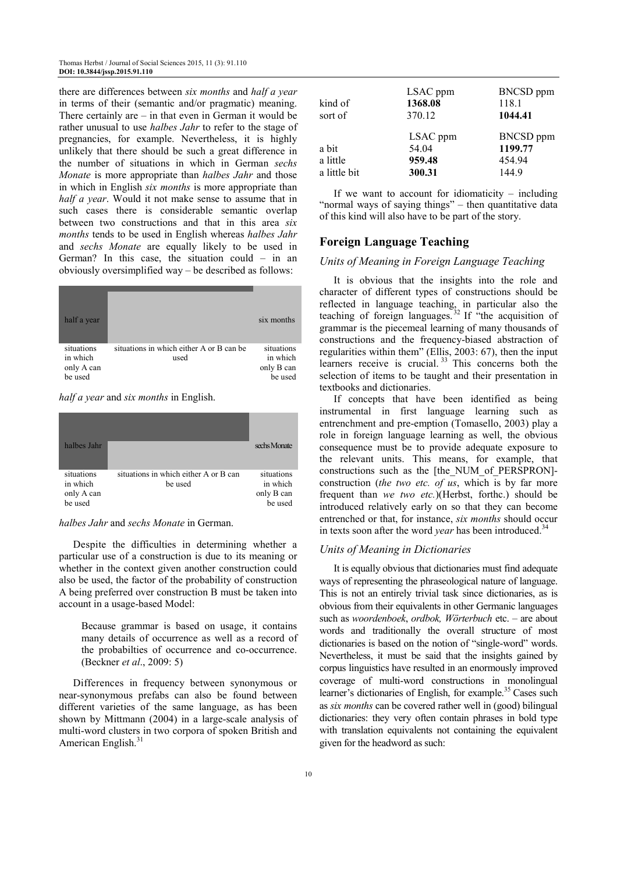there are differences between *six months* and *half a year*  in terms of their (semantic and/or pragmatic) meaning. There certainly are – in that even in German it would be rather unusual to use *halbes Jahr* to refer to the stage of pregnancies, for example. Nevertheless, it is highly unlikely that there should be such a great difference in the number of situations in which in German *sechs Monate* is more appropriate than *halbes Jahr* and those in which in English *six months* is more appropriate than *half a year*. Would it not make sense to assume that in such cases there is considerable semantic overlap between two constructions and that in this area *six months* tends to be used in English whereas *halbes Jahr*  and *sechs Monate* are equally likely to be used in German? In this case, the situation could  $-$  in an obviously oversimplified way – be described as follows:

| half a year                                     |                                                  | six months                                      |
|-------------------------------------------------|--------------------------------------------------|-------------------------------------------------|
| situations<br>in which<br>only A can<br>be used | situations in which either A or B can be<br>used | situations<br>in which<br>only B can<br>be used |

#### *half a year* and *six months* in English.



*halbes Jahr* and *sechs Monate* in German.

Despite the difficulties in determining whether a particular use of a construction is due to its meaning or whether in the context given another construction could also be used, the factor of the probability of construction A being preferred over construction B must be taken into account in a usage-based Model:

Because grammar is based on usage, it contains many details of occurrence as well as a record of the probabilties of occurrence and co-occurrence. (Beckner *et al*., 2009: 5)

Differences in frequency between synonymous or near-synonymous prefabs can also be found between different varieties of the same language, as has been shown by Mittmann (2004) in a large-scale analysis of multi-word clusters in two corpora of spoken British and American English.<sup>31</sup>

| kind of<br>sort of                | LSAC ppm<br>1368.08<br>370.12         | <b>BNCSD</b> ppm<br>118.1<br>1044.41           |
|-----------------------------------|---------------------------------------|------------------------------------------------|
| a bit<br>a little<br>a little bit | LSAC ppm<br>54.04<br>959.48<br>300.31 | <b>BNCSD</b> ppm<br>1199.77<br>454.94<br>144.9 |

If we want to account for idiomaticity  $-$  including "normal ways of saying things" – then quantitative data of this kind will also have to be part of the story.

# **Foreign Language Teaching**

#### *Units of Meaning in Foreign Language Teaching*

It is obvious that the insights into the role and character of different types of constructions should be reflected in language teaching, in particular also the teaching of foreign languages.<sup>32</sup> If "the acquisition of grammar is the piecemeal learning of many thousands of constructions and the frequency-biased abstraction of regularities within them" (Ellis, 2003: 67), then the input learners receive is crucial.<sup>33</sup> This concerns both the selection of items to be taught and their presentation in textbooks and dictionaries.

If concepts that have been identified as being instrumental in first language learning such as entrenchment and pre-emption (Tomasello, 2003) play a role in foreign language learning as well, the obvious consequence must be to provide adequate exposure to the relevant units. This means, for example, that constructions such as the [the\_NUM\_of\_PERSPRON] construction (*the two etc. of us*, which is by far more frequent than *we two etc.*)(Herbst, forthc.) should be introduced relatively early on so that they can become entrenched or that, for instance, *six months* should occur in texts soon after the word *year* has been introduced.<sup>34</sup>

#### *Units of Meaning in Dictionaries*

It is equally obvious that dictionaries must find adequate ways of representing the phraseological nature of language. This is not an entirely trivial task since dictionaries, as is obvious from their equivalents in other Germanic languages such as *woordenboek*, *ordbok, Wörterbuch* etc. – are about words and traditionally the overall structure of most dictionaries is based on the notion of "single-word" words. Nevertheless, it must be said that the insights gained by corpus linguistics have resulted in an enormously improved coverage of multi-word constructions in monolingual learner's dictionaries of English, for example.<sup>35</sup> Cases such as *six months* can be covered rather well in (good) bilingual dictionaries: they very often contain phrases in bold type with translation equivalents not containing the equivalent given for the headword as such: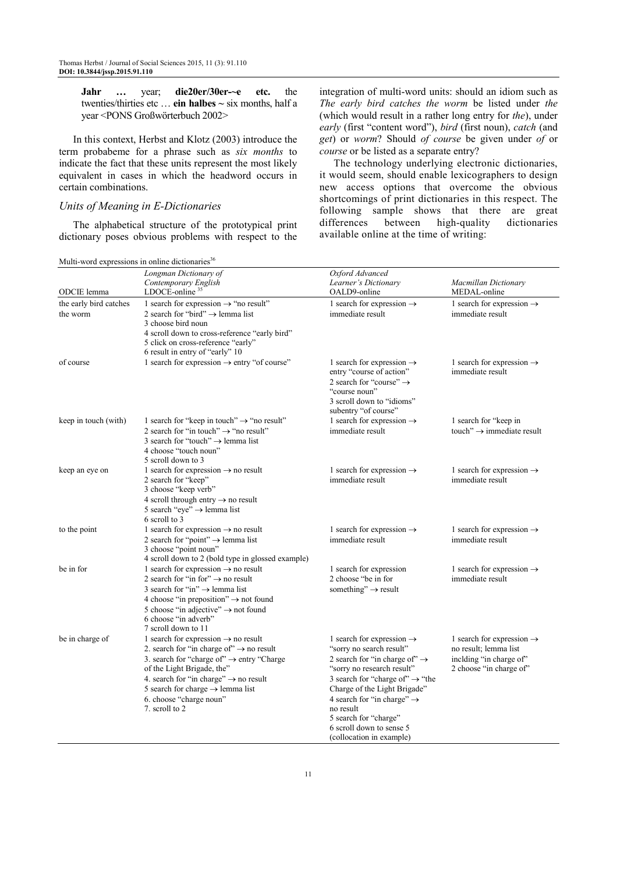**Jahr …** year; **die20er/30er-~e etc.** the twenties/thirties etc … **ein halbes ~** six months, half a year <PONS Großwörterbuch 2002>

In this context, Herbst and Klotz (2003) introduce the term probabeme for a phrase such as *six months* to indicate the fact that these units represent the most likely equivalent in cases in which the headword occurs in certain combinations.

#### *Units of Meaning in E-Dictionaries*

The alphabetical structure of the prototypical print dictionary poses obvious problems with respect to the integration of multi-word units: should an idiom such as *The early bird catches the worm* be listed under *the* (which would result in a rather long entry for *the*), under *early* (first "content word"), *bird* (first noun), *catch* (and *get*) or *worm*? Should *of course* be given under *of* or *course* or be listed as a separate entry?

The technology underlying electronic dictionaries, it would seem, should enable lexicographers to design new access options that overcome the obvious shortcomings of print dictionaries in this respect. The following sample shows that there are great differences between high-quality dictionaries available online at the time of writing:

|                                    | Multi-word expressions in online dictionaries <sup>36</sup>                                                                                                                                                                                                                                                                                       |                                                                                                                                                                                                                                                                                                                                                                     |                                                                                                                      |
|------------------------------------|---------------------------------------------------------------------------------------------------------------------------------------------------------------------------------------------------------------------------------------------------------------------------------------------------------------------------------------------------|---------------------------------------------------------------------------------------------------------------------------------------------------------------------------------------------------------------------------------------------------------------------------------------------------------------------------------------------------------------------|----------------------------------------------------------------------------------------------------------------------|
| ODCIE lemma                        | Longman Dictionary of<br>Contemporary English<br>LDOCE-online <sup>35</sup>                                                                                                                                                                                                                                                                       | Oxford Advanced<br>Learner's Dictionary<br>OALD9-online                                                                                                                                                                                                                                                                                                             | Macmillan Dictionary<br>MEDAL-online                                                                                 |
| the early bird catches<br>the worm | 1 search for expression $\rightarrow$ "no result"<br>2 search for "bird" $\rightarrow$ lemma list<br>3 choose bird noun<br>4 scroll down to cross-reference "early bird"<br>5 click on cross-reference "early"<br>6 result in entry of "early" 10                                                                                                 | 1 search for expression $\rightarrow$<br>immediate result                                                                                                                                                                                                                                                                                                           | 1 search for expression $\rightarrow$<br>immediate result                                                            |
| of course                          | 1 search for expression $\rightarrow$ entry "of course"                                                                                                                                                                                                                                                                                           | 1 search for expression $\rightarrow$<br>entry "course of action"<br>2 search for "course" $\rightarrow$<br>"course noun"<br>3 scroll down to "idioms"<br>subentry "of course"                                                                                                                                                                                      | 1 search for expression $\rightarrow$<br>immediate result                                                            |
| keep in touch (with)               | 1 search for "keep in touch" $\rightarrow$ "no result"<br>2 search for "in touch" $\rightarrow$ "no result"<br>3 search for "touch" $\rightarrow$ lemma list<br>4 choose "touch noun"<br>5 scroll down to 3                                                                                                                                       | 1 search for expression $\rightarrow$<br>immediate result                                                                                                                                                                                                                                                                                                           | 1 search for "keep in<br>touch" $\rightarrow$ immediate result                                                       |
| keep an eye on                     | 1 search for expression $\rightarrow$ no result<br>2 search for "keep"<br>3 choose "keep verb"<br>4 scroll through entry $\rightarrow$ no result<br>5 search "eye" $\rightarrow$ lemma list<br>6 scroll to 3                                                                                                                                      | 1 search for expression $\rightarrow$<br>immediate result                                                                                                                                                                                                                                                                                                           | 1 search for expression $\rightarrow$<br>immediate result                                                            |
| to the point                       | 1 search for expression $\rightarrow$ no result<br>2 search for "point" $\rightarrow$ lemma list<br>3 choose "point noun"<br>4 scroll down to 2 (bold type in glossed example)                                                                                                                                                                    | 1 search for expression $\rightarrow$<br>immediate result                                                                                                                                                                                                                                                                                                           | 1 search for expression $\rightarrow$<br>immediate result                                                            |
| be in for                          | 1 search for expression $\rightarrow$ no result<br>2 search for "in for" $\rightarrow$ no result<br>3 search for "in" $\rightarrow$ lemma list<br>4 choose "in preposition" $\rightarrow$ not found<br>5 choose "in adjective" $\rightarrow$ not found<br>6 choose "in adverb"<br>7 scroll down to 11                                             | 1 search for expression<br>2 choose "be in for<br>something" $\rightarrow$ result                                                                                                                                                                                                                                                                                   | 1 search for expression $\rightarrow$<br>immediate result                                                            |
| be in charge of                    | 1 search for expression $\rightarrow$ no result<br>2. search for "in charge of" $\rightarrow$ no result<br>3. search for "charge of" $\rightarrow$ entry "Charge"<br>of the Light Brigade, the"<br>4. search for "in charge" $\rightarrow$ no result<br>5 search for charge $\rightarrow$ lemma list<br>6. choose "charge noun"<br>7. scroll to 2 | 1 search for expression $\rightarrow$<br>"sorry no search result"<br>2 search for "in charge of" $\rightarrow$<br>"sorry no research result"<br>3 search for "charge of" $\rightarrow$ "the<br>Charge of the Light Brigade"<br>4 search for "in charge" $\rightarrow$<br>no result<br>5 search for "charge"<br>6 scroll down to sense 5<br>(collocation in example) | 1 search for expression $\rightarrow$<br>no result; lemma list<br>inclding "in charge of"<br>2 choose "in charge of" |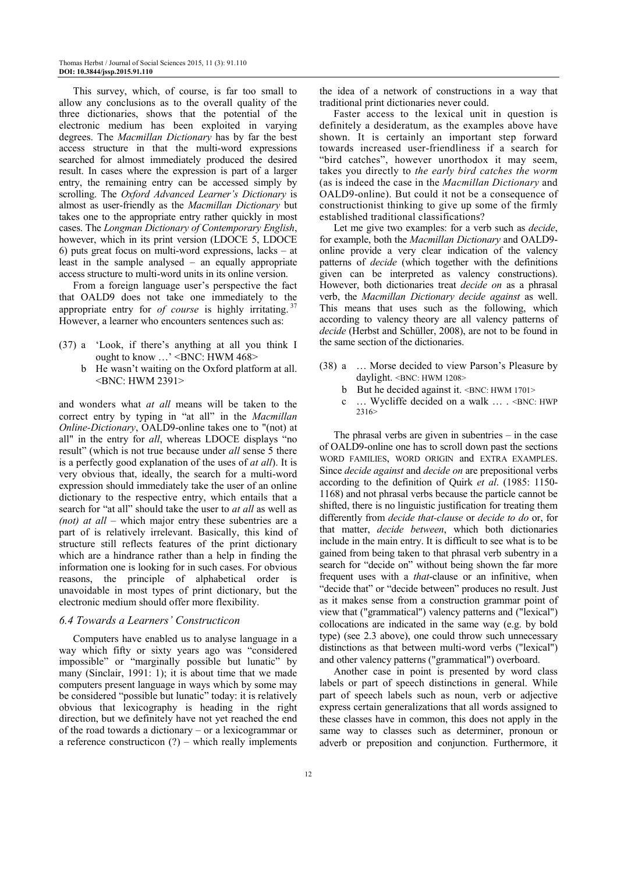This survey, which, of course, is far too small to allow any conclusions as to the overall quality of the three dictionaries, shows that the potential of the electronic medium has been exploited in varying degrees. The *Macmillan Dictionary* has by far the best access structure in that the multi-word expressions searched for almost immediately produced the desired result. In cases where the expression is part of a larger entry, the remaining entry can be accessed simply by scrolling. The *Oxford Advanced Learner's Dictionary* is almost as user-friendly as the *Macmillan Dictionary* but takes one to the appropriate entry rather quickly in most cases. The *Longman Dictionary of Contemporary English*, however, which in its print version (LDOCE 5, LDOCE 6) puts great focus on multi-word expressions, lacks – at least in the sample analysed – an equally appropriate access structure to multi-word units in its online version.

From a foreign language user's perspective the fact that OALD9 does not take one immediately to the appropriate entry for *of course* is highly irritating.<sup>3</sup> However, a learner who encounters sentences such as:

- (37) a 'Look, if there's anything at all you think I ought to know ...' < BNC: HWM 468>
	- b He wasn't waiting on the Oxford platform at all. <BNC: HWM 2391>

and wonders what *at all* means will be taken to the correct entry by typing in "at all" in the *Macmillan Online-Dictionary*, OALD9-online takes one to "(not) at all" in the entry for *all*, whereas LDOCE displays "no result" (which is not true because under *all* sense 5 there is a perfectly good explanation of the uses of *at all*). It is very obvious that, ideally, the search for a multi-word expression should immediately take the user of an online dictionary to the respective entry, which entails that a search for "at all" should take the user to *at all* as well as *(not) at all* – which major entry these subentries are a part of is relatively irrelevant. Basically, this kind of structure still reflects features of the print dictionary which are a hindrance rather than a help in finding the information one is looking for in such cases. For obvious reasons, the principle of alphabetical order is unavoidable in most types of print dictionary, but the electronic medium should offer more flexibility.

#### *6.4 Towards a Learners' Constructicon*

Computers have enabled us to analyse language in a way which fifty or sixty years ago was "considered impossible" or "marginally possible but lunatic" by many (Sinclair, 1991: 1); it is about time that we made computers present language in ways which by some may be considered "possible but lunatic" today: it is relatively obvious that lexicography is heading in the right direction, but we definitely have not yet reached the end of the road towards a dictionary – or a lexicogrammar or a reference constructicon  $(?)$  – which really implements

the idea of a network of constructions in a way that traditional print dictionaries never could.

Faster access to the lexical unit in question is definitely a desideratum, as the examples above have shown. It is certainly an important step forward towards increased user-friendliness if a search for "bird catches", however unorthodox it may seem, takes you directly to *the early bird catches the worm* (as is indeed the case in the *Macmillan Dictionary* and OALD9-online). But could it not be a consequence of constructionist thinking to give up some of the firmly established traditional classifications?

Let me give two examples: for a verb such as *decide*, for example, both the *Macmillan Dictionary* and OALD9 online provide a very clear indication of the valency patterns of *decide* (which together with the definitions given can be interpreted as valency constructions). However, both dictionaries treat *decide on* as a phrasal verb, the *Macmillan Dictionary decide against* as well. This means that uses such as the following, which according to valency theory are all valency patterns of *decide* (Herbst and Schüller, 2008), are not to be found in the same section of the dictionaries.

- (38) a … Morse decided to view Parson's Pleasure by daylight. <BNC: HWM 1208>
	- b But he decided against it. <BNC: HWM 1701>
	- c … Wycliffe decided on a walk … . <BNC: HWP 2316>

The phrasal verbs are given in subentries – in the case of OALD9-online one has to scroll down past the sections WORD FAMILIES, WORD ORIGIN and EXTRA EXAMPLES. Since *decide against* and *decide on* are prepositional verbs according to the definition of Quirk *et al*. (1985: 1150- 1168) and not phrasal verbs because the particle cannot be shifted, there is no linguistic justification for treating them differently from *decide that-clause* or *decide to do* or, for that matter, *decide between*, which both dictionaries include in the main entry. It is difficult to see what is to be gained from being taken to that phrasal verb subentry in a search for "decide on" without being shown the far more frequent uses with a *that*-clause or an infinitive, when "decide that" or "decide between" produces no result. Just as it makes sense from a construction grammar point of view that ("grammatical") valency patterns and ("lexical") collocations are indicated in the same way (e.g. by bold type) (see 2.3 above), one could throw such unnecessary distinctions as that between multi-word verbs ("lexical") and other valency patterns ("grammatical") overboard.

Another case in point is presented by word class labels or part of speech distinctions in general. While part of speech labels such as noun, verb or adjective express certain generalizations that all words assigned to these classes have in common, this does not apply in the same way to classes such as determiner, pronoun or adverb or preposition and conjunction. Furthermore, it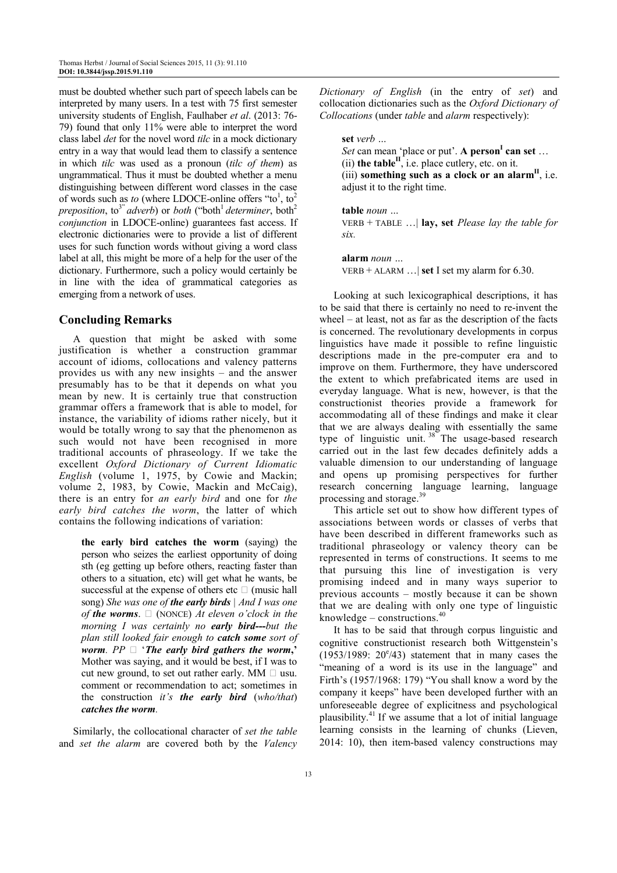must be doubted whether such part of speech labels can be interpreted by many users. In a test with 75 first semester university students of English, Faulhaber *et al*. (2013: 76- 79) found that only 11% were able to interpret the word class label *det* for the novel word *tilc* in a mock dictionary entry in a way that would lead them to classify a sentence in which *tilc* was used as a pronoun (*tilc of them*) as ungrammatical. Thus it must be doubted whether a menu distinguishing between different word classes in the case of words such as *to* (where LDOCE-online offers "to<sup>1</sup>, to<sup>2</sup> *preposition*,  $\omega^{3}$ <sup>"</sup> *adverb*) or *both* ("both<sup>1</sup> *determiner*, both<sup>2</sup> *conjunction* in LDOCE-online) guarantees fast access. If electronic dictionaries were to provide a list of different uses for such function words without giving a word class label at all, this might be more of a help for the user of the dictionary. Furthermore, such a policy would certainly be in line with the idea of grammatical categories as emerging from a network of uses.

# **Concluding Remarks**

A question that might be asked with some justification is whether a construction grammar account of idioms, collocations and valency patterns provides us with any new insights – and the answer presumably has to be that it depends on what you mean by new. It is certainly true that construction grammar offers a framework that is able to model, for instance, the variability of idioms rather nicely, but it would be totally wrong to say that the phenomenon as such would not have been recognised in more traditional accounts of phraseology. If we take the excellent *Oxford Dictionary of Current Idiomatic English* (volume 1, 1975, by Cowie and Mackin; volume 2, 1983, by Cowie, Mackin and McCaig), there is an entry for *an early bird* and one for *the early bird catches the worm*, the latter of which contains the following indications of variation:

**the early bird catches the worm** (saying) the person who seizes the earliest opportunity of doing sth (eg getting up before others, reacting faster than others to a situation, etc) will get what he wants, be successful at the expense of others etc  $\Box$  (music hall song) *She was one of the early birds | And I was one of the worms.*  $\Box$  (NONCE) *At eleven o'clock in the morning I was certainly no early bird---but the plan still looked fair enough to catch some sort of worm.*  $PP \rightharpoonup$  *'The early bird gathers the worm*,' Mother was saying, and it would be best, if I was to cut new ground, to set out rather early.  $MM \square$  usu. comment or recommendation to act; sometimes in the construction *it's the early bird* (*who/that*) *catches the worm.*

Similarly, the collocational character of *set the table*  and *set the alarm* are covered both by the *Valency*  *Dictionary of English* (in the entry of *set*) and collocation dictionaries such as the *Oxford Dictionary of Collocations* (under *table* and *alarm* respectively):

```
set verb … 
Set can mean 'place or put'. A personI
 can set … 
(ii) the table<sup>II</sup>, i.e. place cutlery, etc. on it.
(iii) something such as a clock or an alarmII, i.e. 
adjust it to the right time.
```
**table** *noun …*  VERB + TABLE …| **lay, set** *Please lay the table for six.* 

**alarm** *noun …*  VERB + ALARM …| **set** I set my alarm for 6.30.

Looking at such lexicographical descriptions, it has to be said that there is certainly no need to re-invent the wheel – at least, not as far as the description of the facts is concerned. The revolutionary developments in corpus linguistics have made it possible to refine linguistic descriptions made in the pre-computer era and to improve on them. Furthermore, they have underscored the extent to which prefabricated items are used in everyday language. What is new, however, is that the constructionist theories provide a framework for accommodating all of these findings and make it clear that we are always dealing with essentially the same type of linguistic unit. <sup>38</sup> The usage-based research carried out in the last few decades definitely adds a valuable dimension to our understanding of language and opens up promising perspectives for further research concerning language learning, language processing and storage.<sup>39</sup>

This article set out to show how different types of associations between words or classes of verbs that have been described in different frameworks such as traditional phraseology or valency theory can be represented in terms of constructions. It seems to me that pursuing this line of investigation is very promising indeed and in many ways superior to previous accounts – mostly because it can be shown that we are dealing with only one type of linguistic knowledge – constructions. $40$ 

It has to be said that through corpus linguistic and cognitive constructionist research both Wittgenstein's  $(1953/1989: 20<sup>e</sup>/43)$  statement that in many cases the "meaning of a word is its use in the language" and Firth's (1957/1968: 179) "You shall know a word by the company it keeps" have been developed further with an unforeseeable degree of explicitness and psychological plausibility.<sup>41</sup> If we assume that a lot of initial language learning consists in the learning of chunks (Lieven, 2014: 10), then item-based valency constructions may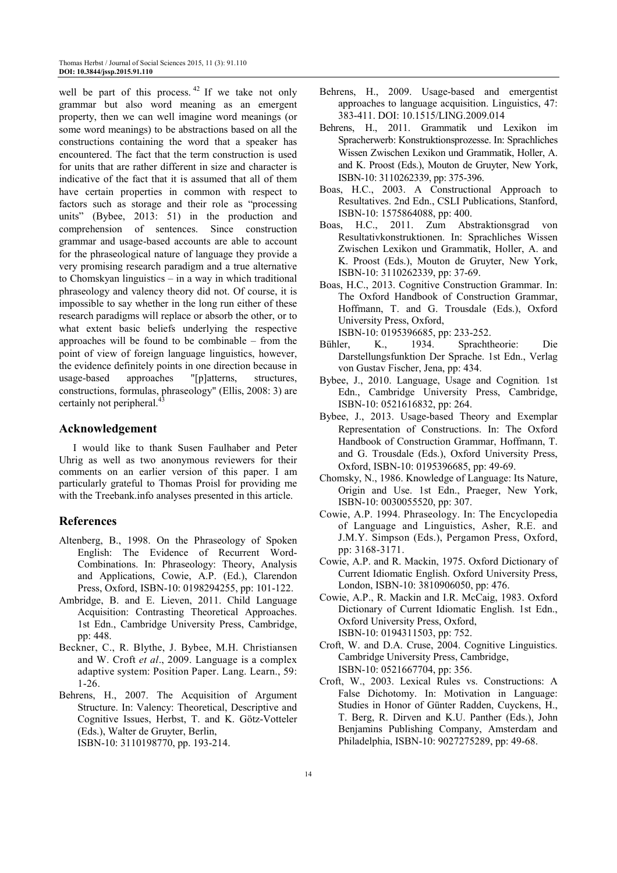well be part of this process.<sup>42</sup> If we take not only grammar but also word meaning as an emergent property, then we can well imagine word meanings (or some word meanings) to be abstractions based on all the constructions containing the word that a speaker has encountered. The fact that the term construction is used for units that are rather different in size and character is indicative of the fact that it is assumed that all of them have certain properties in common with respect to factors such as storage and their role as "processing units" (Bybee, 2013: 51) in the production and comprehension of sentences. Since construction grammar and usage-based accounts are able to account for the phraseological nature of language they provide a very promising research paradigm and a true alternative to Chomskyan linguistics – in a way in which traditional phraseology and valency theory did not. Of course, it is impossible to say whether in the long run either of these research paradigms will replace or absorb the other, or to what extent basic beliefs underlying the respective approaches will be found to be combinable – from the point of view of foreign language linguistics, however, the evidence definitely points in one direction because in usage-based approaches "[p]atterns, structures, constructions, formulas, phraseology" (Ellis, 2008: 3) are certainly not peripheral.<sup>4</sup>

## **Acknowledgement**

I would like to thank Susen Faulhaber and Peter Uhrig as well as two anonymous reviewers for their comments on an earlier version of this paper. I am particularly grateful to Thomas Proisl for providing me with the Treebank.info analyses presented in this article.

#### **References**

- Altenberg, B., 1998. On the Phraseology of Spoken English: The Evidence of Recurrent Word-Combinations. In: Phraseology: Theory, Analysis and Applications, Cowie, A.P. (Ed.), Clarendon Press, Oxford, ISBN-10: 0198294255, pp: 101-122.
- Ambridge, B. and E. Lieven, 2011. Child Language Acquisition: Contrasting Theoretical Approaches. 1st Edn., Cambridge University Press, Cambridge, pp: 448.
- Beckner, C., R. Blythe, J. Bybee, M.H. Christiansen and W. Croft *et al*., 2009. Language is a complex adaptive system: Position Paper. Lang. Learn., 59: 1-26.
- Behrens, H., 2007. The Acquisition of Argument Structure. In: Valency: Theoretical, Descriptive and Cognitive Issues, Herbst, T. and K. Götz-Votteler (Eds.), Walter de Gruyter, Berlin, ISBN-10: 3110198770, pp. 193-214.
- Behrens, H., 2009. Usage-based and emergentist approaches to language acquisition. Linguistics, 47: 383-411. DOI: 10.1515/LING.2009.014
- Behrens, H., 2011. Grammatik und Lexikon im Spracherwerb: Konstruktionsprozesse. In: Sprachliches Wissen Zwischen Lexikon und Grammatik, Holler, A. and K. Proost (Eds.), Mouton de Gruyter, New York, ISBN-10: 3110262339, pp: 375-396.
- Boas, H.C., 2003. A Constructional Approach to Resultatives. 2nd Edn., CSLI Publications, Stanford, ISBN-10: 1575864088, pp: 400.
- Boas, H.C., 2011. Zum Abstraktionsgrad von Resultativkonstruktionen. In: Sprachliches Wissen Zwischen Lexikon und Grammatik, Holler, A. and K. Proost (Eds.), Mouton de Gruyter, New York, ISBN-10: 3110262339, pp: 37-69.
- Boas, H.C., 2013. Cognitive Construction Grammar. In: The Oxford Handbook of Construction Grammar, Hoffmann, T. and G. Trousdale (Eds.), Oxford University Press, Oxford, ISBN-10: 0195396685, pp: 233-252.
- Bühler, K., 1934. Sprachtheorie: Die Darstellungsfunktion Der Sprache. 1st Edn., Verlag von Gustav Fischer, Jena, pp: 434.
- Bybee, J., 2010. Language, Usage and Cognition*.* 1st Edn., Cambridge University Press, Cambridge, ISBN-10: 0521616832, pp: 264.
- Bybee, J., 2013. Usage-based Theory and Exemplar Representation of Constructions. In: The Oxford Handbook of Construction Grammar, Hoffmann, T. and G. Trousdale (Eds.), Oxford University Press, Oxford, ISBN-10: 0195396685, pp: 49-69.
- Chomsky, N., 1986. Knowledge of Language: Its Nature, Origin and Use. 1st Edn., Praeger, New York, ISBN-10: 0030055520, pp: 307.
- Cowie, A.P. 1994. Phraseology. In: The Encyclopedia of Language and Linguistics, Asher, R.E. and J.M.Y. Simpson (Eds.), Pergamon Press, Oxford, pp: 3168-3171.
- Cowie, A.P. and R. Mackin, 1975. Oxford Dictionary of Current Idiomatic English. Oxford University Press, London, ISBN-10: 3810906050, pp: 476.
- Cowie, A.P., R. Mackin and I.R. McCaig, 1983. Oxford Dictionary of Current Idiomatic English. 1st Edn., Oxford University Press, Oxford, ISBN-10: 0194311503, pp: 752.
- Croft, W. and D.A. Cruse, 2004. Cognitive Linguistics. Cambridge University Press, Cambridge, ISBN-10: 0521667704, pp: 356.
- Croft, W., 2003. Lexical Rules vs. Constructions: A False Dichotomy. In: Motivation in Language: Studies in Honor of Günter Radden, Cuyckens, H., T. Berg, R. Dirven and K.U. Panther (Eds.), John Benjamins Publishing Company, Amsterdam and Philadelphia, ISBN-10: 9027275289, pp: 49-68.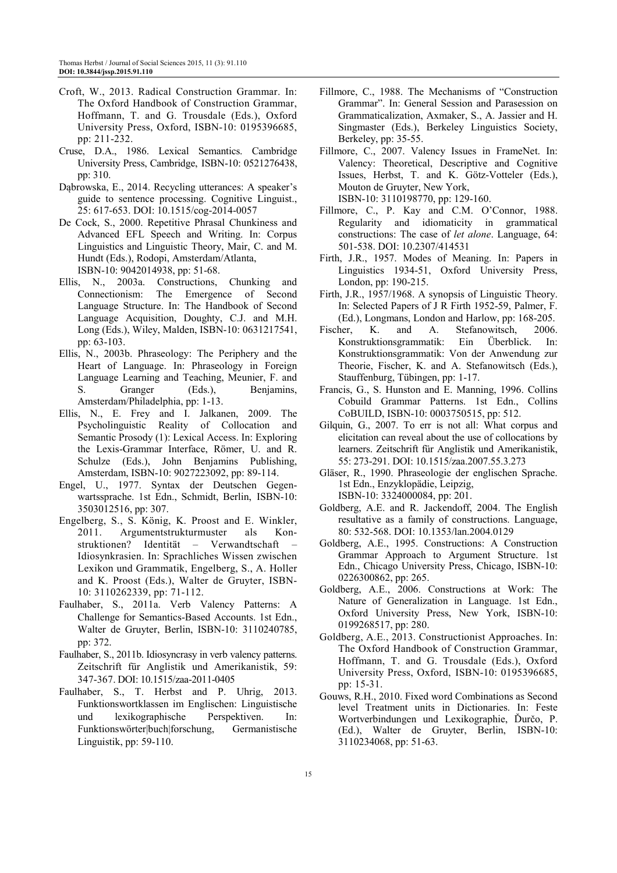- Croft, W., 2013. Radical Construction Grammar. In: The Oxford Handbook of Construction Grammar, Hoffmann, T. and G. Trousdale (Eds.), Oxford University Press, Oxford, ISBN-10: 0195396685, pp: 211-232.
- Cruse, D.A., 1986. Lexical Semantics. Cambridge University Press, Cambridge, ISBN-10: 0521276438, pp: 310.
- Dąbrowska, E., 2014. Recycling utterances: A speaker's guide to sentence processing. Cognitive Linguist., 25: 617-653. DOI: 10.1515/cog-2014-0057
- De Cock, S., 2000. Repetitive Phrasal Chunkiness and Advanced EFL Speech and Writing. In: Corpus Linguistics and Linguistic Theory, Mair, C. and M. Hundt (Eds.), Rodopi, Amsterdam/Atlanta, ISBN-10: 9042014938, pp: 51-68.
- Ellis, N., 2003a. Constructions, Chunking and Connectionism: The Emergence of Second Language Structure. In: The Handbook of Second Language Acquisition, Doughty, C.J. and M.H. Long (Eds.), Wiley, Malden, ISBN-10: 0631217541, pp: 63-103.
- Ellis, N., 2003b. Phraseology: The Periphery and the Heart of Language. In: Phraseology in Foreign Language Learning and Teaching, Meunier, F. and S. Granger (Eds.), Benjamins, Amsterdam/Philadelphia, pp: 1-13.
- Ellis, N., E. Frey and I. Jalkanen, 2009. The Psycholinguistic Reality of Collocation and Semantic Prosody (1): Lexical Access. In: Exploring the Lexis-Grammar Interface, Römer, U. and R. Schulze (Eds.), John Benjamins Publishing, Amsterdam, ISBN-10: 9027223092, pp: 89-114.
- Engel, U., 1977. Syntax der Deutschen Gegenwartssprache. 1st Edn., Schmidt, Berlin, ISBN-10: 3503012516, pp: 307.
- Engelberg, S., S. König, K. Proost and E. Winkler, 2011. Argumentstrukturmuster als Konstruktionen? Identität – Verwandtschaft – Idiosynkrasien. In: Sprachliches Wissen zwischen Lexikon und Grammatik, Engelberg, S., A. Holler and K. Proost (Eds.), Walter de Gruyter, ISBN-10: 3110262339, pp: 71-112.
- Faulhaber, S., 2011a. Verb Valency Patterns: A Challenge for Semantics-Based Accounts. 1st Edn., Walter de Gruyter, Berlin, ISBN-10: 3110240785, pp: 372.
- Faulhaber, S., 2011b. Idiosyncrasy in verb valency patterns. Zeitschrift für Anglistik und Amerikanistik, 59: 347-367. DOI: 10.1515/zaa-2011-0405
- Faulhaber, S., T. Herbst and P. Uhrig, 2013. Funktionswortklassen im Englischen: Linguistische und lexikographische Perspektiven. In: Funktionswörter|buch|forschung, Germanistische Linguistik, pp: 59-110.
- Fillmore, C., 1988. The Mechanisms of "Construction Grammar". In: General Session and Parasession on Grammaticalization, Axmaker, S., A. Jassier and H. Singmaster (Eds.), Berkeley Linguistics Society, Berkeley, pp: 35-55.
- Fillmore, C., 2007. Valency Issues in FrameNet. In: Valency: Theoretical, Descriptive and Cognitive Issues, Herbst, T. and K. Götz-Votteler (Eds.), Mouton de Gruyter, New York, ISBN-10: 3110198770, pp: 129-160.
- Fillmore, C., P. Kay and C.M. O'Connor, 1988. Regularity and idiomaticity in grammatical constructions: The case of *let alone*. Language, 64: 501-538. DOI: 10.2307/414531
- Firth, J.R., 1957. Modes of Meaning. In: Papers in Linguistics 1934-51, Oxford University Press, London, pp: 190-215.
- Firth, J.R., 1957/1968. A synopsis of Linguistic Theory. In: Selected Papers of J R Firth 1952-59, Palmer, F. (Ed.), Longmans, London and Harlow, pp: 168-205.
- Fischer, K. and A. Stefanowitsch, 2006. Konstruktionsgrammatik: Ein Überblick. In: Konstruktionsgrammatik: Von der Anwendung zur Theorie, Fischer, K. and A. Stefanowitsch (Eds.), Stauffenburg, Tübingen, pp: 1-17.
- Francis, G., S. Hunston and E. Manning, 1996. Collins Cobuild Grammar Patterns. 1st Edn., Collins CoBUILD, ISBN-10: 0003750515, pp: 512.
- Gilquin, G., 2007. To err is not all: What corpus and elicitation can reveal about the use of collocations by learners. Zeitschrift für Anglistik und Amerikanistik, 55: 273-291. DOI: 10.1515/zaa.2007.55.3.273
- Gläser, R., 1990. Phraseologie der englischen Sprache. 1st Edn., Enzyklopädie, Leipzig, ISBN-10: 3324000084, pp: 201.
- Goldberg, A.E. and R. Jackendoff, 2004. The English resultative as a family of constructions. Language, 80: 532-568. DOI: 10.1353/lan.2004.0129
- Goldberg, A.E., 1995. Constructions: A Construction Grammar Approach to Argument Structure. 1st Edn., Chicago University Press, Chicago, ISBN-10: 0226300862, pp: 265.
- Goldberg, A.E., 2006. Constructions at Work: The Nature of Generalization in Language. 1st Edn., Oxford University Press, New York, ISBN-10: 0199268517, pp: 280.
- Goldberg, A.E., 2013. Constructionist Approaches. In: The Oxford Handbook of Construction Grammar, Hoffmann, T. and G. Trousdale (Eds.), Oxford University Press, Oxford, ISBN-10: 0195396685, pp: 15-31.
- Gouws, R.H., 2010. Fixed word Combinations as Second level Treatment units in Dictionaries. In: Feste Wortverbindungen und Lexikographie, Ďurčo, P. (Ed.), Walter de Gruyter, Berlin, ISBN-10: 3110234068, pp: 51-63.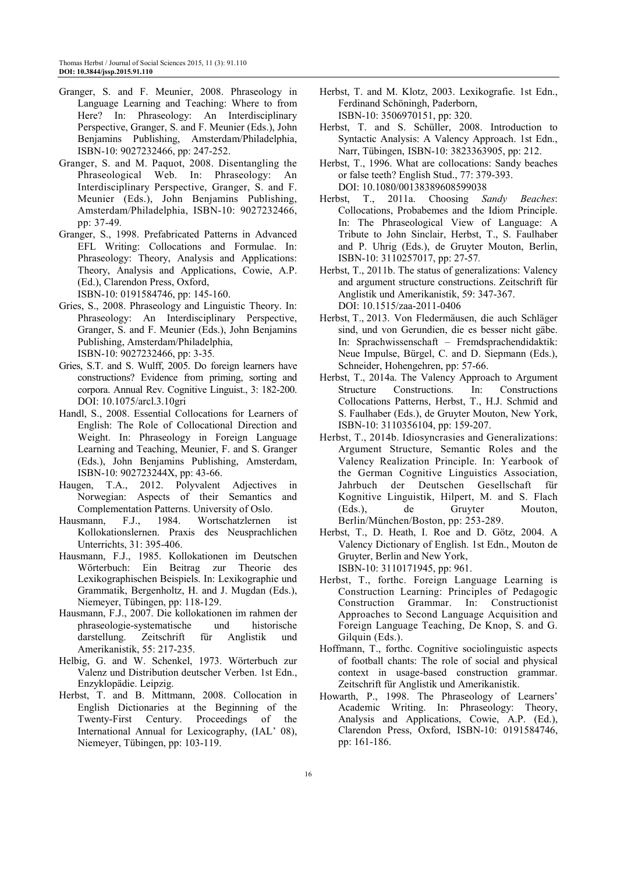- Granger, S. and F. Meunier, 2008. Phraseology in Language Learning and Teaching: Where to from Here? In: Phraseology: An Interdisciplinary Perspective, Granger, S. and F. Meunier (Eds.), John Benjamins Publishing, Amsterdam/Philadelphia, ISBN-10: 9027232466, pp: 247-252.
- Granger, S. and M. Paquot, 2008. Disentangling the Phraseological Web. In: Phraseology: An Interdisciplinary Perspective, Granger, S. and F. Meunier (Eds.), John Benjamins Publishing, Amsterdam/Philadelphia, ISBN-10: 9027232466, pp: 37-49*.*
- Granger, S., 1998. Prefabricated Patterns in Advanced EFL Writing: Collocations and Formulae. In: Phraseology: Theory, Analysis and Applications: Theory, Analysis and Applications, Cowie, A.P. (Ed.), Clarendon Press, Oxford, ISBN-10: 0191584746, pp: 145-160.
- Gries, S., 2008. Phraseology and Linguistic Theory. In: Phraseology: An Interdisciplinary Perspective, Granger, S. and F. Meunier (Eds.), John Benjamins Publishing, Amsterdam/Philadelphia, ISBN-10: 9027232466, pp: 3-35*.*
- Gries, S.T. and S. Wulff, 2005. Do foreign learners have constructions? Evidence from priming, sorting and corpora. Annual Rev. Cognitive Linguist., 3: 182-200. DOI: 10.1075/arcl.3.10gri
- Handl, S., 2008. Essential Collocations for Learners of English: The Role of Collocational Direction and Weight. In: Phraseology in Foreign Language Learning and Teaching, Meunier, F. and S. Granger (Eds.), John Benjamins Publishing, Amsterdam, ISBN-10: 902723244X, pp: 43-66.
- Haugen, T.A., 2012. Polyvalent Adjectives in Norwegian: Aspects of their Semantics and Complementation Patterns. University of Oslo.
- Hausmann, F.J., 1984. Wortschatzlernen ist Kollokationslernen. Praxis des Neusprachlichen Unterrichts, 31: 395-406.
- Hausmann, F.J., 1985. Kollokationen im Deutschen Wörterbuch: Ein Beitrag zur Theorie des Lexikographischen Beispiels. In: Lexikographie und Grammatik, Bergenholtz, H. and J. Mugdan (Eds.), Niemeyer, Tübingen, pp: 118-129.
- Hausmann, F.J., 2007. Die kollokationen im rahmen der phraseologie-systematische und historische darstellung. Zeitschrift für Anglistik und Amerikanistik, 55: 217-235.
- Helbig, G. and W. Schenkel, 1973. Wörterbuch zur Valenz und Distribution deutscher Verben. 1st Edn., Enzyklopädie. Leipzig.
- Herbst, T. and B. Mittmann, 2008. Collocation in English Dictionaries at the Beginning of the Twenty-First Century. Proceedings of the International Annual for Lexicography, (IAL' 08), Niemeyer, Tübingen, pp: 103-119.
- Herbst, T. and M. Klotz, 2003. Lexikografie. 1st Edn., Ferdinand Schöningh, Paderborn, ISBN-10: 3506970151, pp: 320.
- Herbst, T. and S. Schüller, 2008. Introduction to Syntactic Analysis: A Valency Approach. 1st Edn., Narr, Tübingen, ISBN-10: 3823363905, pp: 212.
- Herbst, T., 1996. What are collocations: Sandy beaches or false teeth? English Stud., 77: 379-393. DOI: 10.1080/00138389608599038
- Herbst, T., 2011a. Choosing *Sandy Beaches*: Collocations, Probabemes and the Idiom Principle. In: The Phraseological View of Language: A Tribute to John Sinclair, Herbst, T., S. Faulhaber and P. Uhrig (Eds.), de Gruyter Mouton, Berlin, ISBN-10: 3110257017, pp: 27-57*.*
- Herbst, T., 2011b. The status of generalizations: Valency and argument structure constructions. Zeitschrift für Anglistik und Amerikanistik, 59: 347-367. DOI: 10.1515/zaa-2011-0406
- Herbst, T., 2013. Von Fledermäusen, die auch Schläger sind, und von Gerundien, die es besser nicht gäbe. In: Sprachwissenschaft – Fremdsprachendidaktik: Neue Impulse, Bürgel, C. and D. Siepmann (Eds.), Schneider, Hohengehren, pp: 57-66.
- Herbst, T., 2014a. The Valency Approach to Argument Structure Constructions. In: Constructions Collocations Patterns, Herbst, T., H.J. Schmid and S. Faulhaber (Eds.), de Gruyter Mouton, New York, ISBN-10: 3110356104, pp: 159-207.
- Herbst, T., 2014b. Idiosyncrasies and Generalizations: Argument Structure, Semantic Roles and the Valency Realization Principle. In: Yearbook of the German Cognitive Linguistics Association, Jahrbuch der Deutschen Gesellschaft für Kognitive Linguistik, Hilpert, M. and S. Flach (Eds.), de Gruyter Mouton, Berlin/München/Boston, pp: 253-289.
- Herbst, T., D. Heath, I. Roe and D. Götz, 2004. A Valency Dictionary of English. 1st Edn., Mouton de Gruyter, Berlin and New York, ISBN-10: 3110171945, pp: 961.
- Herbst, T., forthc. Foreign Language Learning is Construction Learning: Principles of Pedagogic Construction Grammar. In: Constructionist Approaches to Second Language Acquisition and Foreign Language Teaching, De Knop, S. and G. Gilquin (Eds.).
- Hoffmann, T., forthc. Cognitive sociolinguistic aspects of football chants: The role of social and physical context in usage-based construction grammar. Zeitschrift für Anglistik und Amerikanistik.
- Howarth, P., 1998. The Phraseology of Learners' Academic Writing. In: Phraseology: Theory, Analysis and Applications, Cowie, A.P. (Ed.), Clarendon Press, Oxford, ISBN-10: 0191584746, pp: 161-186.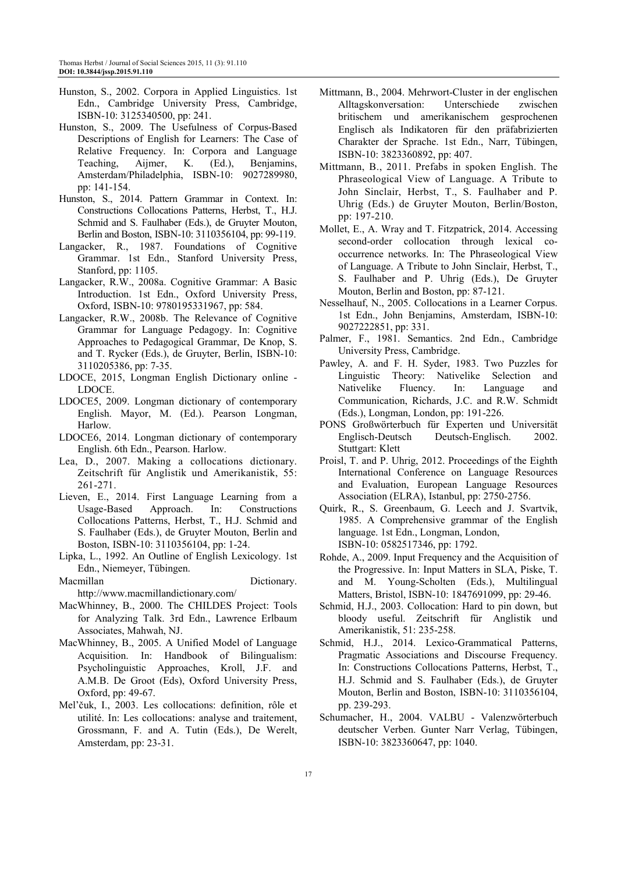- Hunston, S., 2002. Corpora in Applied Linguistics. 1st Edn., Cambridge University Press, Cambridge, ISBN-10: 3125340500, pp: 241.
- Hunston, S., 2009. The Usefulness of Corpus-Based Descriptions of English for Learners: The Case of Relative Frequency. In: Corpora and Language Teaching, Aijmer, K. (Ed.), Benjamins, Amsterdam/Philadelphia, ISBN-10: 9027289980, pp: 141-154.
- Hunston, S., 2014. Pattern Grammar in Context. In: Constructions Collocations Patterns, Herbst, T., H.J. Schmid and S. Faulhaber (Eds.), de Gruyter Mouton, Berlin and Boston, ISBN-10: 3110356104, pp: 99-119.
- Langacker, R., 1987. Foundations of Cognitive Grammar. 1st Edn., Stanford University Press, Stanford, pp: 1105.
- Langacker, R.W., 2008a. Cognitive Grammar: A Basic Introduction. 1st Edn., Oxford University Press, Oxford, ISBN-10: 9780195331967, pp: 584.
- Langacker, R.W., 2008b. The Relevance of Cognitive Grammar for Language Pedagogy. In: Cognitive Approaches to Pedagogical Grammar, De Knop, S. and T. Rycker (Eds.), de Gruyter, Berlin, ISBN-10: 3110205386, pp: 7-35.
- LDOCE, 2015, Longman English Dictionary online LDOCE.
- LDOCE5, 2009. Longman dictionary of contemporary English. Mayor, M. (Ed.). Pearson Longman, Harlow.
- LDOCE6, 2014. Longman dictionary of contemporary English. 6th Edn., Pearson. Harlow.
- Lea, D., 2007. Making a collocations dictionary. Zeitschrift für Anglistik und Amerikanistik, 55: 261-271.
- Lieven, E., 2014. First Language Learning from a Usage-Based Approach. In: Constructions Collocations Patterns, Herbst, T., H.J. Schmid and S. Faulhaber (Eds.), de Gruyter Mouton, Berlin and Boston, ISBN-10: 3110356104, pp: 1-24.
- Lipka, L., 1992. An Outline of English Lexicology. 1st Edn., Niemeyer, Tübingen.
- Macmillan Dictionary. http://www.macmillandictionary.com/
- MacWhinney, B., 2000. The CHILDES Project: Tools for Analyzing Talk. 3rd Edn., Lawrence Erlbaum Associates, Mahwah, NJ.
- MacWhinney, B., 2005. A Unified Model of Language Acquisition. In: Handbook of Bilingualism: Psycholinguistic Approaches, Kroll, J.F. and A.M.B. De Groot (Eds), Oxford University Press, Oxford, pp: 49-67.
- Mel'čuk, I., 2003. Les collocations: definition, rôle et utilité. In: Les collocations: analyse and traitement, Grossmann, F. and A. Tutin (Eds.), De Werelt, Amsterdam, pp: 23-31.
- Mittmann, B., 2004. Mehrwort-Cluster in der englischen Alltagskonversation: Unterschiede zwischen britischem und amerikanischem gesprochenen Englisch als Indikatoren für den präfabrizierten Charakter der Sprache. 1st Edn., Narr, Tübingen, ISBN-10: 3823360892, pp: 407.
- Mittmann, B., 2011. Prefabs in spoken English. The Phraseological View of Language. A Tribute to John Sinclair, Herbst, T., S. Faulhaber and P. Uhrig (Eds.) de Gruyter Mouton, Berlin/Boston, pp: 197-210.
- Mollet, E., A. Wray and T. Fitzpatrick, 2014. Accessing second-order collocation through lexical cooccurrence networks. In: The Phraseological View of Language. A Tribute to John Sinclair, Herbst, T., S. Faulhaber and P. Uhrig (Eds.), De Gruyter Mouton, Berlin and Boston, pp: 87-121.
- Nesselhauf, N., 2005. Collocations in a Learner Corpus. 1st Edn., John Benjamins, Amsterdam, ISBN-10: 9027222851, pp: 331.
- Palmer, F., 1981. Semantics. 2nd Edn., Cambridge University Press, Cambridge.
- Pawley, A. and F. H. Syder, 1983. Two Puzzles for Linguistic Theory: Nativelike Selection and Nativelike Fluency. In: Language and Communication, Richards, J.C. and R.W. Schmidt (Eds.), Longman, London, pp: 191-226.
- PONS Großwörterbuch für Experten und Universität Englisch-Deutsch Deutsch-Englisch. 2002. Stuttgart: Klett
- Proisl, T. and P. Uhrig, 2012. Proceedings of the Eighth International Conference on Language Resources and Evaluation, European Language Resources Association (ELRA), Istanbul, pp: 2750-2756.
- Quirk, R., S. Greenbaum, G. Leech and J. Svartvik, 1985. A Comprehensive grammar of the English language. 1st Edn., Longman, London, ISBN-10: 0582517346, pp: 1792.
- Rohde, A., 2009. Input Frequency and the Acquisition of the Progressive. In: Input Matters in SLA, Piske, T. and M. Young-Scholten (Eds.), Multilingual Matters, Bristol, ISBN-10: 1847691099, pp: 29-46.
- Schmid, H.J., 2003. Collocation: Hard to pin down, but bloody useful. Zeitschrift für Anglistik und Amerikanistik, 51: 235-258.
- Schmid, H.J., 2014. Lexico-Grammatical Patterns, Pragmatic Associations and Discourse Frequency. In: Constructions Collocations Patterns, Herbst, T., H.J. Schmid and S. Faulhaber (Eds.), de Gruyter Mouton, Berlin and Boston, ISBN-10: 3110356104, pp. 239-293.
- Schumacher, H., 2004. VALBU Valenzwörterbuch deutscher Verben. Gunter Narr Verlag, Tübingen, ISBN-10: 3823360647, pp: 1040.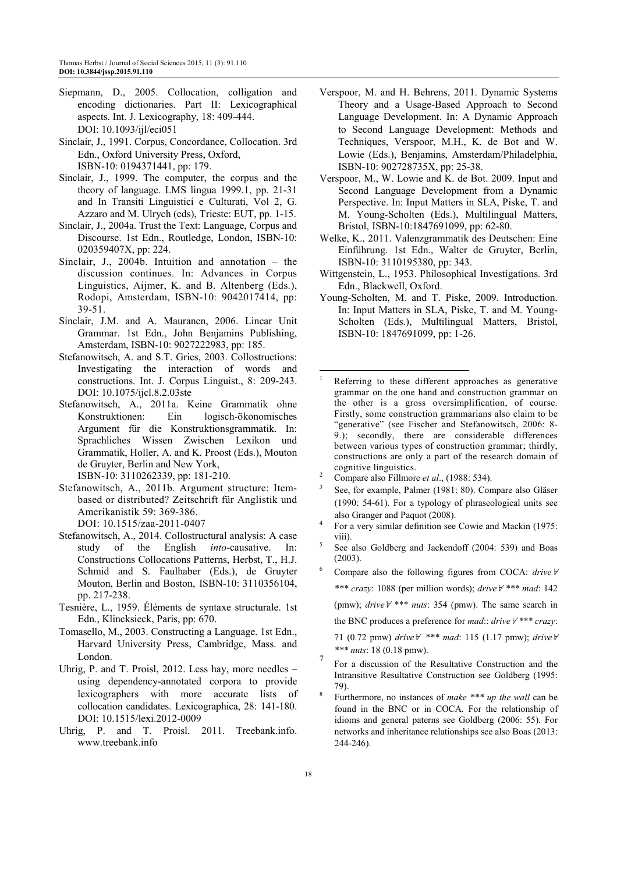- Siepmann, D., 2005. Collocation, colligation and encoding dictionaries. Part II: Lexicographical aspects. Int. J. Lexicography, 18: 409-444. DOI: 10.1093/ijl/eci051
- Sinclair, J., 1991. Corpus, Concordance, Collocation. 3rd Edn., Oxford University Press, Oxford, ISBN-10: 0194371441, pp: 179.
- Sinclair, J., 1999. The computer, the corpus and the theory of language. LMS lingua 1999.1, pp. 21-31 and In Transiti Linguistici e Culturati, Vol 2, G. Azzaro and M. Ulrych (eds), Trieste: EUT, pp. 1-15.
- Sinclair, J., 2004a. Trust the Text: Language, Corpus and Discourse. 1st Edn., Routledge, London, ISBN-10: 020359407X, pp: 224.
- Sinclair, J., 2004b. Intuition and annotation the discussion continues. In: Advances in Corpus Linguistics, Aijmer, K. and B. Altenberg (Eds.), Rodopi, Amsterdam, ISBN-10: 9042017414, pp: 39-51.
- Sinclair, J.M. and A. Mauranen, 2006. Linear Unit Grammar. 1st Edn., John Benjamins Publishing, Amsterdam, ISBN-10: 9027222983, pp: 185.
- Stefanowitsch, A. and S.T. Gries, 2003. Collostructions: Investigating the interaction of words and constructions. Int. J. Corpus Linguist., 8: 209-243. DOI: 10.1075/ijcl.8.2.03ste
- Stefanowitsch, A., 2011a. Keine Grammatik ohne Konstruktionen: Ein logisch-ökonomisches Argument für die Konstruktionsgrammatik. In: Sprachliches Wissen Zwischen Lexikon und Grammatik, Holler, A. and K. Proost (Eds.), Mouton de Gruyter, Berlin and New York, ISBN-10: 3110262339, pp: 181-210.
- Stefanowitsch, A., 2011b. Argument structure: Itembased or distributed? Zeitschrift für Anglistik und Amerikanistik 59: 369-386. DOI: 10.1515/zaa-2011-0407
- Stefanowitsch, A., 2014. Collostructural analysis: A case study of the English *into*-causative. In: Constructions Collocations Patterns, Herbst, T., H.J. Schmid and S. Faulhaber (Eds.), de Gruyter Mouton, Berlin and Boston, ISBN-10: 3110356104, pp. 217-238.
- Tesnière, L., 1959. Éléments de syntaxe structurale. 1st Edn., Klincksieck, Paris, pp: 670.
- Tomasello, M., 2003. Constructing a Language. 1st Edn., Harvard University Press, Cambridge, Mass. and London.
- Uhrig, P. and T. Proisl, 2012. Less hay, more needles using dependency-annotated corpora to provide lexicographers with more accurate lists of collocation candidates. Lexicographica, 28: 141-180. DOI: 10.1515/lexi.2012-0009
- Uhrig, P. and T. Proisl. 2011. Treebank.info. www.treebank.info
- Verspoor, M. and H. Behrens, 2011. Dynamic Systems Theory and a Usage-Based Approach to Second Language Development. In: A Dynamic Approach to Second Language Development: Methods and Techniques, Verspoor, M.H., K. de Bot and W. Lowie (Eds.), Benjamins, Amsterdam/Philadelphia, ISBN-10: 902728735X, pp: 25-38.
- Verspoor, M., W. Lowie and K. de Bot. 2009. Input and Second Language Development from a Dynamic Perspective. In: Input Matters in SLA, Piske, T. and M. Young-Scholten (Eds.), Multilingual Matters, Bristol, ISBN-10:1847691099, pp: 62-80.
- Welke, K., 2011. Valenzgrammatik des Deutschen: Eine Einführung. 1st Edn., Walter de Gruyter, Berlin, ISBN-10: 3110195380, pp: 343.
- Wittgenstein, L., 1953. Philosophical Investigations. 3rd Edn., Blackwell, Oxford.
- Young-Scholten, M. and T. Piske, 2009. Introduction. In: Input Matters in SLA, Piske, T. and M. Young-Scholten (Eds.), Multilingual Matters, Bristol, ISBN-10: 1847691099, pp: 1-26.
- $\overline{a}$ 1 Referring to these different approaches as generative grammar on the one hand and construction grammar on the other is a gross oversimplification, of course. Firstly, some construction grammarians also claim to be "generative" (see Fischer and Stefanowitsch, 2006: 8- 9.); secondly, there are considerable differences between various types of construction grammar; thirdly, constructions are only a part of the research domain of cognitive linguistics.
- <sup>2</sup> Compare also Fillmore *et al.*, (1988: 534).
- 3 See, for example, Palmer (1981: 80). Compare also Gläser (1990: 54-61). For a typology of phraseological units see also Granger and Paquot (2008).
- 4 For a very similar definition see Cowie and Mackin (1975: viii). 5
- See also Goldberg and Jackendoff (2004: 539) and Boas (2003).
- 6 Compare also the following figures from COCA: *drive*<sup>∀</sup> *\*\*\* crazy*: 1088 (per million words); *drive*∀ *\*\*\* mad*: 142

(pmw); *drive*∀ *\*\*\* nuts*: 354 (pmw). The same search in

the BNC produces a preference for *mad*:: *drive*∀ *\*\*\* crazy*:

71 (0.72 pmw) *drive*<sup>∀</sup> *\*\*\* mad*: 115 (1.17 pmw); *drive*<sup>∀</sup> *\*\*\* nuts*: 18 (0.18 pmw).

- 7 For a discussion of the Resultative Construction and the Intransitive Resultative Construction see Goldberg (1995: 79).
- 8 Furthermore, no instances of *make \*\*\* up the wall* can be found in the BNC or in COCA. For the relationship of idioms and general paterns see Goldberg (2006: 55). For networks and inheritance relationships see also Boas (2013: 244-246).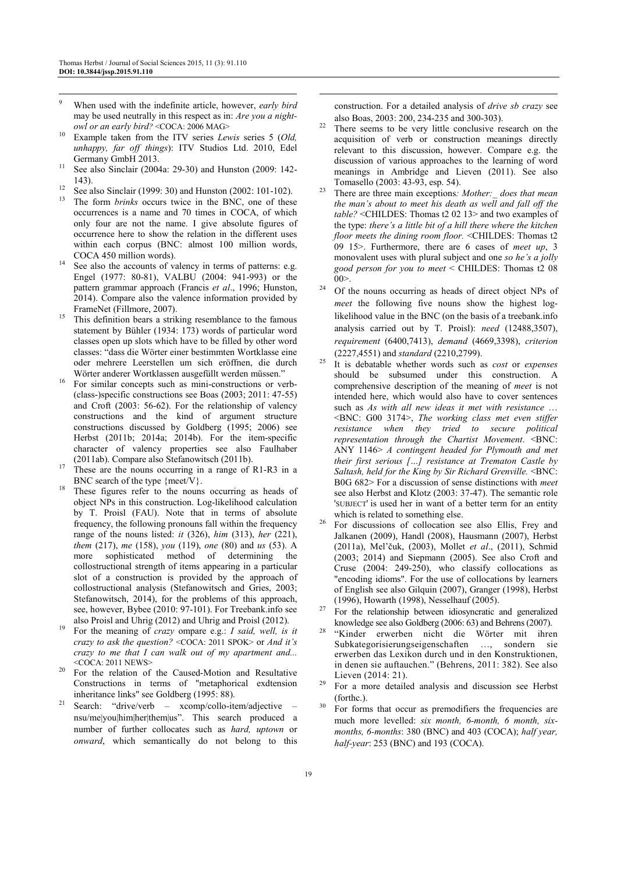- <u>.</u> 9 When used with the indefinite article, however, *early bird* may be used neutrally in this respect as in: *Are you a nightowl or an early bird?* <COCA: 2006 MAG>
- <sup>10</sup> Example taken from the ITV series *Lewis* series 5 (*Old, unhappy, far off things*): ITV Studios Ltd. 2010, Edel Germany GmbH 2013.
- <sup>11</sup> See also Sinclair (2004a: 29-30) and Hunston (2009: 142-143).
- <sup>12</sup> See also Sinclair (1999: 30) and Hunston (2002: 101-102).
- The form *brinks* occurs twice in the BNC, one of these occurrences is a name and 70 times in COCA, of which only four are not the name. I give absolute figures of occurrence here to show the relation in the different uses within each corpus (BNC: almost 100 million words, COCA 450 million words).
- $14$  See also the accounts of valency in terms of patterns: e.g. Engel (1977: 80-81), VALBU (2004: 941-993) or the pattern grammar approach (Francis *et al*., 1996; Hunston, 2014). Compare also the valence information provided by FrameNet (Fillmore, 2007).
- <sup>15</sup> This definition bears a striking resemblance to the famous statement by Bühler (1934: 173) words of particular word classes open up slots which have to be filled by other word classes: "dass die Wörter einer bestimmten Wortklasse eine oder mehrere Leerstellen um sich eröffnen, die durch Wörter anderer Wortklassen ausgefüllt werden müssen."
- <sup>16</sup> For similar concepts such as mini-constructions or verb- (class-)specific constructions see Boas (2003; 2011: 47-55) and Croft (2003: 56-62). For the relationship of valency constructions and the kind of argument structure constructions discussed by Goldberg (1995; 2006) see Herbst (2011b; 2014a; 2014b). For the item-specific character of valency properties see also Faulhaber (2011ab). Compare also Stefanowitsch (2011b).
- $17$  These are the nouns occurring in a range of R1-R3 in a BNC search of the type  ${meet}$  $\langle V \rangle$ .
- $18$  These figures refer to the nouns occurring as heads of object NPs in this construction. Log-likelihood calculation by T. Proisl (FAU). Note that in terms of absolute frequency, the following pronouns fall within the frequency range of the nouns listed: *it* (326), *him* (313), *her* (221), *them* (217), *me* (158), *you* (119), *one* (80) and *us* (53). A more sophisticated method of determining the collostructional strength of items appearing in a particular slot of a construction is provided by the approach of collostructional analysis (Stefanowitsch and Gries, 2003; Stefanowitsch, 2014), for the problems of this approach, see, however, Bybee (2010: 97-101). For Treebank.info see also Proisl and Uhrig (2012) and Uhrig and Proisl (2012).
- <sup>19</sup> For the meaning of *crazy* ompare e.g.: *I said, well, is it crazy to ask the question?* <COCA: 2011 SPOK> or *And it's crazy to me that I can walk out of my apartment and...* <COCA: 2011 NEWS>
- <sup>20</sup> For the relation of the Caused-Motion and Resultative Constructions in terms of "metaphorical exdtension inheritance links" see Goldberg (1995: 88).
- Search: "drive/verb  $xcomp/collo-item/adjective$  nsu/me|you|him|her|them|us". This search produced a number of further collocates such as *hard, uptown* or *onward*, which semantically do not belong to this

construction. For a detailed analysis of *drive sb crazy* see also Boas, 2003: 200, 234-235 and 300-303).

<u>.</u>

- $22$  There seems to be very little conclusive research on the acquisition of verb or construction meanings directly relevant to this discussion, however. Compare e.g. the discussion of various approaches to the learning of word meanings in Ambridge and Lieven (2011). See also Tomasello (2003: 43-93, esp. 54).
- <sup>23</sup> There are three main exceptions*: Mother:\_ does that mean the man's about to meet his death as well and fall off the table?* <CHILDES: Thomas t2 02 13> and two examples of the type: *there's a little bit of a hill there where the kitchen floor meets the dining room floor.* <CHILDES: Thomas t2 09 15>. Furthermore, there are 6 cases of *meet up*, 3 monovalent uses with plural subject and one *so he's a jolly good person for you to meet* < CHILDES: Thomas t2 08  $00$
- $24$  Of the nouns occurring as heads of direct object NPs of *meet* the following five nouns show the highest loglikelihood value in the BNC (on the basis of a treebank.info analysis carried out by T. Proisl): *need* (12488,3507), *requirement* (6400,7413), *demand* (4669,3398), *criterion* (2227,4551) and *standard* (2210,2799).
- <sup>25</sup> It is debatable whether words such as *cost* or *expenses*  should be subsumed under this construction. A comprehensive description of the meaning of *meet* is not intended here, which would also have to cover sentences such as *As with all new ideas it met with resistance* … <BNC: G00 3174>, *The working class met even stiffer resistance when they tried to secure political representation through the Chartist Movement*. <BNC: ANY 1146> *A contingent headed for Plymouth and met their first serious […] resistance at Trematon Castle by Saltash, held for the King by Sir Richard Grenville.* <BNC: B0G 682> For a discussion of sense distinctions with *meet* see also Herbst and Klotz (2003: 37-47). The semantic role 'SUBJECT' is used her in want of a better term for an entity which is related to something else.
- <sup>26</sup> For discussions of collocation see also Ellis, Frey and Jalkanen (2009), Handl (2008), Hausmann (2007), Herbst (2011a), Mel'čuk, (2003), Mollet *et al*., (2011), Schmid (2003; 2014) and Siepmann (2005). See also Croft and Cruse (2004: 249-250), who classify collocations as "encoding idioms". For the use of collocations by learners of English see also Gilquin (2007), Granger (1998), Herbst (1996), Howarth (1998), Nesselhauf (2005).
- $27$  For the relationship between idiosyncratic and generalized knowledge see also Goldberg (2006: 63) and Behrens (2007).
- <sup>28</sup> "Kinder erwerben nicht die Wörter mit ihren Subkategorisierungseigenschaften …, sondern sie erwerben das Lexikon durch und in den Konstruktionen, in denen sie auftauchen." (Behrens, 2011: 382). See also Lieven (2014: 21).
- <sup>29</sup> For a more detailed analysis and discussion see Herbst (forthc.).
- $30$  For forms that occur as premodifiers the frequencies are much more levelled: *six month, 6-month, 6 month, sixmonths, 6-months*: 380 (BNC) and 403 (COCA); *half year, half-year*: 253 (BNC) and 193 (COCA).